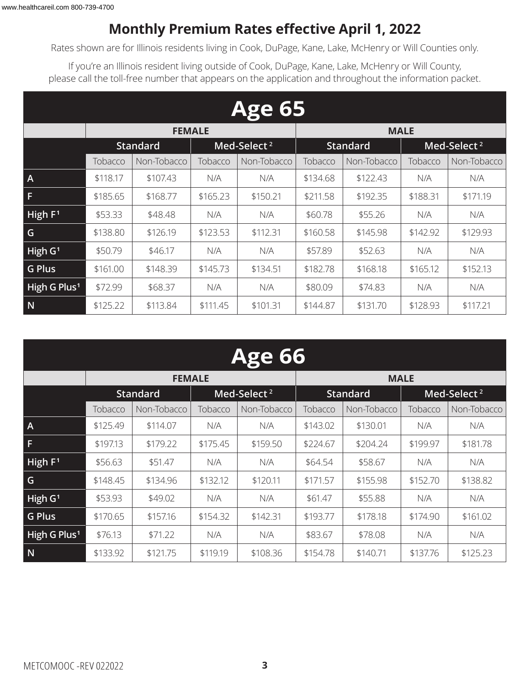### **Monthly Premium Rates effective April 1, 2022**

Rates shown are for Illinois residents living in Cook, DuPage, Kane, Lake, McHenry or Will Counties only.

If you're an Illinois resident living outside of Cook, DuPage, Kane, Lake, McHenry or Will County, please call the toll-free number that appears on the application and throughout the information packet.

|                          | <b>Age 65</b> |                 |          |                         |          |                 |          |                         |  |  |  |
|--------------------------|---------------|-----------------|----------|-------------------------|----------|-----------------|----------|-------------------------|--|--|--|
|                          |               | <b>FEMALE</b>   |          |                         |          | <b>MALE</b>     |          |                         |  |  |  |
|                          |               | <b>Standard</b> |          | Med-Select <sup>2</sup> |          | <b>Standard</b> |          | Med-Select <sup>2</sup> |  |  |  |
|                          | Tobacco       | Non-Tobacco     | Tobacco  | Tobacco<br>Non-Tobacco  |          | Non-Tobacco     | Tobacco  | Non-Tobacco             |  |  |  |
| $\mathsf{A}$             | \$118.17      | \$107.43        | N/A      | N/A                     | \$134.68 | \$122.43        | N/A      | N/A                     |  |  |  |
| F                        | \$185.65      | \$168.77        | \$165.23 | \$150.21                | \$211.58 | \$192.35        | \$188.31 | \$171.19                |  |  |  |
| High F <sup>1</sup>      | \$53.33       | \$48.48         | N/A      | N/A                     | \$60.78  | \$55.26         | N/A      | N/A                     |  |  |  |
| G                        | \$138.80      | \$126.19        | \$123.53 | \$112.31                | \$160.58 | \$145.98        | \$142.92 | \$129.93                |  |  |  |
| High $G1$                | \$50.79       | \$46.17         | N/A      | N/A                     | \$57.89  | \$52.63         | N/A      | N/A                     |  |  |  |
| <b>G Plus</b>            | \$161.00      | \$148.39        | \$145.73 | \$134.51                | \$182.78 | \$168.18        | \$165.12 | \$152.13                |  |  |  |
| High G Plus <sup>1</sup> | \$72.99       | \$68.37         | N/A      | N/A                     | \$80.09  | \$74.83         | N/A      | N/A                     |  |  |  |
| N                        | \$125.22      | \$113.84        | \$111.45 | \$101.31                | \$144.87 | \$131.70        | \$128.93 | \$117.21                |  |  |  |

| <b>Age 66</b>            |          |                 |          |                         |          |                 |          |                         |  |  |
|--------------------------|----------|-----------------|----------|-------------------------|----------|-----------------|----------|-------------------------|--|--|
|                          |          | <b>FEMALE</b>   |          |                         |          | <b>MALE</b>     |          |                         |  |  |
|                          |          | <b>Standard</b> |          | Med-Select <sup>2</sup> |          | <b>Standard</b> |          | Med-Select <sup>2</sup> |  |  |
|                          | Tobacco  | Non-Tobacco     |          | Non-Tobacco             | Tobacco  | Non-Tobacco     | Tobacco  | Non-Tobacco             |  |  |
| $\overline{A}$           | \$125.49 | \$114.07        | N/A      | N/A                     | \$143.02 | \$130.01        | N/A      | N/A                     |  |  |
| F                        | \$197.13 | \$179.22        | \$175.45 | \$159.50                | \$224.67 | \$204.24        | \$199.97 | \$181.78                |  |  |
| High $F1$                | \$56.63  | \$51.47         | N/A      | N/A                     | \$64.54  | \$58.67         | N/A      | N/A                     |  |  |
| G                        | \$148.45 | \$134.96        | \$132.12 | \$120.11                | \$171.57 | \$155.98        | \$152.70 | \$138.82                |  |  |
| High $G1$                | \$53.93  | \$49.02         | N/A      | N/A                     | \$61.47  | \$55.88         | N/A      | N/A                     |  |  |
| <b>G Plus</b>            | \$170.65 | \$157.16        | \$154.32 | \$142.31                | \$193.77 | \$178.18        | \$174.90 | \$161.02                |  |  |
| High G Plus <sup>1</sup> | \$76.13  | \$71.22         | N/A      | N/A                     | \$83.67  | \$78.08         | N/A      | N/A                     |  |  |
| N                        | \$133.92 | \$121.75        | \$119.19 | \$108.36                | \$154.78 | \$140.71        | \$137.76 | \$125.23                |  |  |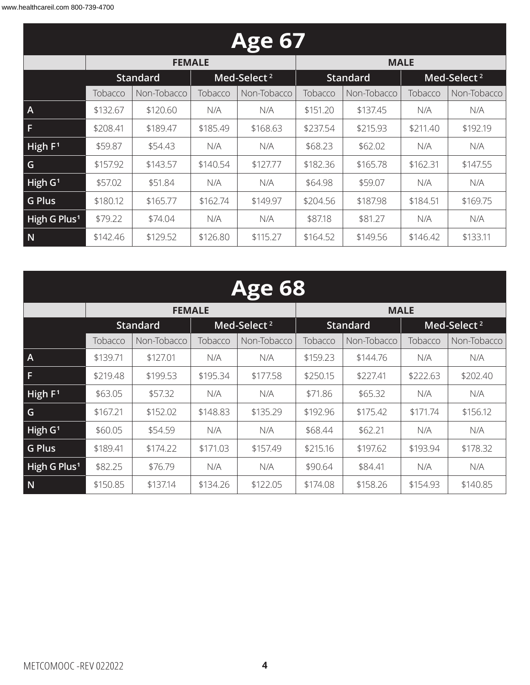|                          |          |                 |          | <b>Age 67</b>           |                                            |             |          |             |
|--------------------------|----------|-----------------|----------|-------------------------|--------------------------------------------|-------------|----------|-------------|
|                          |          | <b>FEMALE</b>   |          |                         |                                            | <b>MALE</b> |          |             |
|                          |          | <b>Standard</b> |          | Med-Select <sup>2</sup> | Med-Select <sup>2</sup><br><b>Standard</b> |             |          |             |
|                          | Tobacco  | Non-Tobacco     |          | Non-Tobacco             | Tobacco                                    | Non-Tobacco | Tobacco  | Non-Tobacco |
| $\mathsf{A}$             | \$132.67 | \$120.60        | N/A      | N/A                     | \$151.20                                   | \$137.45    | N/A      | N/A         |
| F                        | \$208.41 | \$189.47        | \$185.49 | \$168.63                | \$237.54                                   | \$215.93    | \$211.40 | \$192.19    |
| High $F1$                | \$59.87  | \$54.43         | N/A      | N/A                     | \$68.23                                    | \$62.02     | N/A      | N/A         |
| G                        | \$157.92 | \$143.57        | \$140.54 | \$127.77                | \$182.36                                   | \$165.78    | \$162.31 | \$147.55    |
| High $G1$                | \$57.02  | \$51.84         | N/A      | N/A                     | \$64.98                                    | \$59.07     | N/A      | N/A         |
| <b>G Plus</b>            | \$180.12 | \$165.77        | \$162.74 | \$149.97                | \$204.56                                   | \$187.98    | \$184.51 | \$169.75    |
| High G Plus <sup>1</sup> | \$79.22  | \$74.04         | N/A      | N/A                     | \$87.18                                    | \$81.27     | N/A      | N/A         |
| N                        | \$142.46 | \$129.52        | \$126.80 | \$115.27                | \$164.52                                   | \$149.56    | \$146.42 | \$133.11    |

|                          |          |                 |          | <b>Age 68</b>           |                                            |             |          |             |  |
|--------------------------|----------|-----------------|----------|-------------------------|--------------------------------------------|-------------|----------|-------------|--|
|                          |          | <b>FEMALE</b>   |          |                         |                                            | <b>MALE</b> |          |             |  |
|                          |          | <b>Standard</b> |          | Med-Select <sup>2</sup> | <b>Standard</b><br>Med-Select <sup>2</sup> |             |          |             |  |
|                          | Tobacco  | Non-Tobacco     | Tobacco  | Non-Tobacco             | Tobacco                                    | Non-Tobacco | Tobacco  | Non-Tobacco |  |
| $\overline{A}$           | \$139.71 | \$127.01        | N/A      | N/A                     | \$159.23                                   | \$144.76    | N/A      | N/A         |  |
| F                        | \$219.48 | \$199.53        | \$195.34 | \$177.58                | \$250.15                                   | \$227.41    | \$222.63 | \$202.40    |  |
| High $F1$                | \$63.05  | \$57.32         | N/A      | N/A                     | \$71.86                                    | \$65.32     | N/A      | N/A         |  |
| G                        | \$167.21 | \$152.02        | \$148.83 | \$135.29                | \$192.96                                   | \$175.42    | \$171.74 | \$156.12    |  |
| $H$ igh G <sup>1</sup>   | \$60.05  | \$54.59         | N/A      | N/A                     | \$68.44                                    | \$62.21     | N/A      | N/A         |  |
| <b>G Plus</b>            | \$189.41 | \$174.22        | \$171.03 | \$157.49                | \$215.16                                   | \$197.62    | \$193.94 | \$178.32    |  |
| High G Plus <sup>1</sup> | \$82.25  | \$76.79         | N/A      | N/A                     | \$90.64                                    | \$84.41     | N/A      | N/A         |  |
| N                        | \$150.85 | \$137.14        | \$134.26 | \$122.05                | \$174.08                                   | \$158.26    | \$154.93 | \$140.85    |  |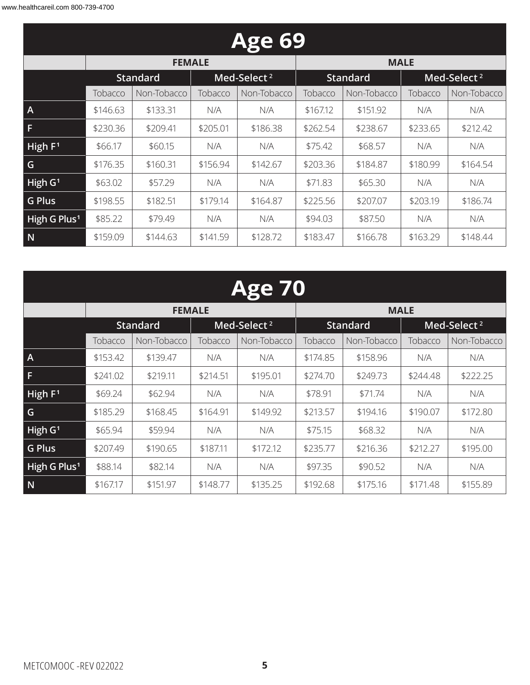|                          | <b>Age 69</b> |                 |                        |                         |                                            |             |          |             |  |  |  |
|--------------------------|---------------|-----------------|------------------------|-------------------------|--------------------------------------------|-------------|----------|-------------|--|--|--|
|                          |               | <b>FEMALE</b>   |                        |                         |                                            | <b>MALE</b> |          |             |  |  |  |
|                          |               | <b>Standard</b> |                        | Med-Select <sup>2</sup> | <b>Standard</b><br>Med-Select <sup>2</sup> |             |          |             |  |  |  |
|                          | Tobacco       | Non-Tobacco     | Tobacco<br>Non-Tobacco |                         | Tobacco                                    | Non-Tobacco | Tobacco  | Non-Tobacco |  |  |  |
| $\mathsf{A}$             | \$146.63      | \$133.31        | N/A                    | N/A                     | \$167.12                                   | \$151.92    | N/A      | N/A         |  |  |  |
| F                        | \$230.36      | \$209.41        | \$205.01               | \$186.38                | \$262.54                                   | \$238.67    | \$233.65 | \$212.42    |  |  |  |
| High $F1$                | \$66.17       | \$60.15         | N/A                    | N/A                     | \$75.42                                    | \$68.57     | N/A      | N/A         |  |  |  |
| G                        | \$176.35      | \$160.31        | \$156.94               | \$142.67                | \$203.36                                   | \$184.87    | \$180.99 | \$164.54    |  |  |  |
| High $G1$                | \$63.02       | \$57.29         | N/A                    | N/A                     | \$71.83                                    | \$65.30     | N/A      | N/A         |  |  |  |
| <b>G Plus</b>            | \$198.55      | \$182.51        | \$179.14               | \$164.87                | \$225.56                                   | \$207.07    | \$203.19 | \$186.74    |  |  |  |
| High G Plus <sup>1</sup> | \$85.22       | \$79.49         | N/A                    | N/A                     | \$94.03                                    | \$87.50     | N/A      | N/A         |  |  |  |
| N                        | \$159.09      | \$144.63        | \$141.59               | \$128.72                | \$183.47                                   | \$166.78    | \$163.29 | \$148.44    |  |  |  |

|                          |          |                 |          | <b>Age 70</b>           |          |                 |          |                         |
|--------------------------|----------|-----------------|----------|-------------------------|----------|-----------------|----------|-------------------------|
|                          |          | <b>FEMALE</b>   |          |                         |          | <b>MALE</b>     |          |                         |
|                          |          | <b>Standard</b> |          | Med-Select <sup>2</sup> |          | <b>Standard</b> |          | Med-Select <sup>2</sup> |
|                          | Tobacco  | Non-Tobacco     | Tobacco  | Non-Tobacco             | Tobacco  | Non-Tobacco     | Tobacco  | Non-Tobacco             |
| $\overline{A}$           | \$153.42 | \$139.47        | N/A      | N/A                     | \$174.85 | \$158.96        | N/A      | N/A                     |
| F                        | \$241.02 | \$219.11        | \$214.51 | \$195.01                | \$274.70 | \$249.73        | \$244.48 | \$222.25                |
| High $F1$                | \$69.24  | \$62.94         | N/A      | N/A                     | \$78.91  | \$71.74         | N/A      | N/A                     |
| G                        | \$185.29 | \$168.45        | \$164.91 | \$149.92                | \$213.57 | \$194.16        | \$190.07 | \$172.80                |
| High G <sup>1</sup>      | \$65.94  | \$59.94         | N/A      | N/A                     | \$75.15  | \$68.32         | N/A      | N/A                     |
| <b>G Plus</b>            | \$207.49 | \$190.65        | \$187.11 | \$172.12                | \$235.77 | \$216.36        | \$212.27 | \$195.00                |
| High G Plus <sup>1</sup> | \$88.14  | \$82.14         | N/A      | N/A                     | \$97.35  | \$90.52         | N/A      | N/A                     |
| N                        | \$167.17 | \$151.97        | \$148.77 | \$135.25                | \$192.68 | \$175.16        | \$171.48 | \$155.89                |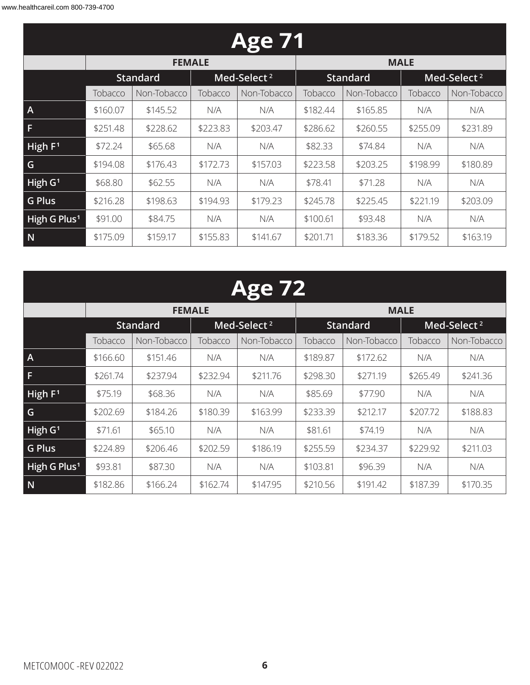|                          |          |                 |          | <b>Age 71</b>           |          |                 |          |                         |
|--------------------------|----------|-----------------|----------|-------------------------|----------|-----------------|----------|-------------------------|
|                          |          | <b>FEMALE</b>   |          |                         |          | <b>MALE</b>     |          |                         |
|                          |          | <b>Standard</b> |          | Med-Select <sup>2</sup> |          | <b>Standard</b> |          | Med-Select <sup>2</sup> |
|                          | Tobacco  | Non-Tobacco     | Tobacco  | Non-Tobacco             | Tobacco  | Non-Tobacco     | Tobacco  | Non-Tobacco             |
| $\overline{A}$           | \$160.07 | \$145.52        | N/A      | N/A                     | \$182.44 | \$165.85        | N/A      | N/A                     |
| F                        | \$251.48 | \$228.62        | \$223.83 | \$203.47                | \$286.62 | \$260.55        | \$255.09 | \$231.89                |
| High $F1$                | \$72.24  | \$65.68         | N/A      | N/A                     | \$82.33  | \$74.84         | N/A      | N/A                     |
| G                        | \$194.08 | \$176.43        | \$172.73 | \$157.03                | \$223.58 | \$203.25        | \$198.99 | \$180.89                |
| High $G1$                | \$68.80  | \$62.55         | N/A      | N/A                     | \$78.41  | \$71.28         | N/A      | N/A                     |
| <b>G Plus</b>            | \$216.28 | \$198.63        | \$194.93 | \$179.23                | \$245.78 | \$225.45        | \$221.19 | \$203.09                |
| High G Plus <sup>1</sup> | \$91.00  | \$84.75         | N/A      | N/A                     | \$100.61 | \$93.48         | N/A      | N/A                     |
| N                        | \$175.09 | \$159.17        | \$155.83 | \$141.67                | \$201.71 | \$183.36        | \$179.52 | \$163.19                |

| $\bullet$ . |  |
|-------------|--|
|-------------|--|

|                          |          | <b>FEMALE</b>   |                         |             | <b>MALE</b> |                 |          |                         |  |  |
|--------------------------|----------|-----------------|-------------------------|-------------|-------------|-----------------|----------|-------------------------|--|--|
|                          |          | <b>Standard</b> | Med-Select <sup>2</sup> |             |             | <b>Standard</b> |          | Med-Select <sup>2</sup> |  |  |
|                          | Tobacco  | Non-Tobacco     | Tobacco                 | Non-Tobacco | Tobacco     | Non-Tobacco     | Tobacco  | Non-Tobacco             |  |  |
| $\overline{A}$           | \$166.60 | \$151.46        | N/A                     | N/A         | \$189.87    | \$172.62        | N/A      | N/A                     |  |  |
| F                        | \$261.74 | \$237.94        | \$232.94                | \$211.76    | \$298.30    | \$271.19        | \$265.49 | \$241.36                |  |  |
| High $F1$                | \$75.19  | \$68.36         | N/A                     | N/A         | \$85.69     | \$77.90         | N/A      | N/A                     |  |  |
| G                        | \$202.69 | \$184.26        | \$180.39                | \$163.99    | \$233.39    | \$212.17        | \$207.72 | \$188.83                |  |  |
| High $G1$                | \$71.61  | \$65.10         | N/A                     | N/A         | \$81.61     | \$74.19         | N/A      | N/A                     |  |  |
| <b>G Plus</b>            | \$224.89 | \$206.46        | \$202.59                | \$186.19    | \$255.59    | \$234.37        | \$229.92 | \$211.03                |  |  |
| High G Plus <sup>1</sup> | \$93.81  | \$87.30         | N/A                     | N/A         | \$103.81    | \$96.39         | N/A      | N/A                     |  |  |
| N                        | \$182.86 | \$166.24        | \$162.74                | \$147.95    | \$210.56    | \$191.42        | \$187.39 | \$170.35                |  |  |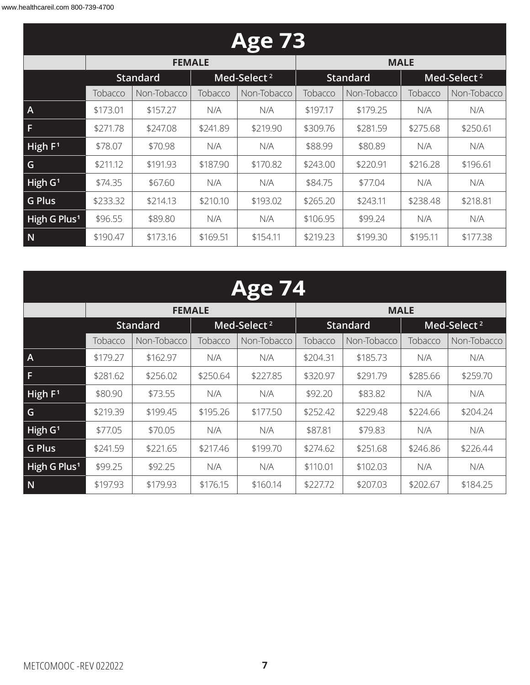|                          |          |                        |                         | <b>Age 73</b> |                 |             |                         |             |
|--------------------------|----------|------------------------|-------------------------|---------------|-----------------|-------------|-------------------------|-------------|
|                          |          | <b>FEMALE</b>          |                         |               |                 | <b>MALE</b> |                         |             |
|                          |          | <b>Standard</b>        | Med-Select <sup>2</sup> |               | <b>Standard</b> |             | Med-Select <sup>2</sup> |             |
|                          | Tobacco  | Non-Tobacco<br>Tobacco |                         | Non-Tobacco   | Tobacco         | Non-Tobacco | Tobacco                 | Non-Tobacco |
| $\mathsf{A}$             | \$173.01 | \$157.27               | N/A                     | N/A           | \$197.17        | \$179.25    | N/A                     | N/A         |
| F                        | \$271.78 | \$247.08               | \$241.89                | \$219.90      | \$309.76        | \$281.59    | \$275.68                | \$250.61    |
| High $F1$                | \$78.07  | \$70.98                | N/A                     | N/A           | \$88.99         | \$80.89     | N/A                     | N/A         |
| G                        | \$211.12 | \$191.93               | \$187.90                | \$170.82      | \$243.00        | \$220.91    | \$216.28                | \$196.61    |
| High $G1$                | \$74.35  | \$67.60                | N/A                     | N/A           | \$84.75         | \$77.04     | N/A                     | N/A         |
| <b>G Plus</b>            | \$233.32 | \$214.13               | \$210.10                | \$193.02      | \$265.20        | \$243.11    | \$238.48                | \$218.81    |
| High G Plus <sup>1</sup> | \$96.55  | \$89.80                | N/A                     | N/A           | \$106.95        | \$99.24     | N/A                     | N/A         |
| N                        | \$190.47 | \$173.16               | \$169.51                | \$154.11      | \$219.23        | \$199.30    | \$195.11                | \$177.38    |

|                          |          |                 |          | <b>Age 74</b>           |          |                 |          |                         |
|--------------------------|----------|-----------------|----------|-------------------------|----------|-----------------|----------|-------------------------|
|                          |          | <b>FEMALE</b>   |          |                         |          | <b>MALE</b>     |          |                         |
|                          |          | <b>Standard</b> |          | Med-Select <sup>2</sup> |          | <b>Standard</b> |          | Med-Select <sup>2</sup> |
|                          | Tobacco  | Non-Tobacco     | Tobacco  | Non-Tobacco             | Tobacco  | Non-Tobacco     | Tobacco  | Non-Tobacco             |
| A                        | \$179.27 | \$162.97        | N/A      | N/A                     | \$204.31 | \$185.73        | N/A      | N/A                     |
| F.                       | \$281.62 | \$256.02        | \$250.64 | \$227.85                | \$320.97 | \$291.79        | \$285.66 | \$259.70                |
| High F <sup>1</sup>      | \$80.90  | \$73.55         | N/A      | N/A                     | \$92.20  | \$83.82         | N/A      | N/A                     |
| G                        | \$219.39 | \$199.45        | \$195.26 | \$177.50                | \$252.42 | \$229.48        | \$224.66 | \$204.24                |
| High G <sup>1</sup>      | \$77.05  | \$70.05         | N/A      | N/A                     | \$87.81  | \$79.83         | N/A      | N/A                     |
| <b>G Plus</b>            | \$241.59 | \$221.65        | \$217.46 | \$199.70                | \$274.62 | \$251.68        | \$246.86 | \$226.44                |
| High G Plus <sup>1</sup> | \$99.25  | \$92.25         | N/A      | N/A                     | \$110.01 | \$102.03        | N/A      | N/A                     |
| N                        | \$197.93 | \$179.93        | \$176.15 | \$160.14                | \$227.72 | \$207.03        | \$202.67 | \$184.25                |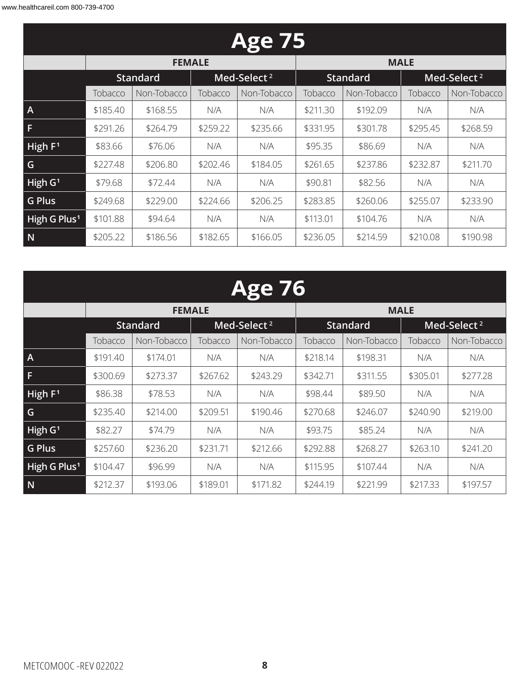|                          |          |                 |          | <b>Age 75</b>           |          |                 |          |                         |
|--------------------------|----------|-----------------|----------|-------------------------|----------|-----------------|----------|-------------------------|
|                          |          | <b>FEMALE</b>   |          |                         |          | <b>MALE</b>     |          |                         |
|                          |          | <b>Standard</b> |          | Med-Select <sup>2</sup> |          | <b>Standard</b> |          | Med-Select <sup>2</sup> |
|                          | Tobacco  | Non-Tobacco     |          | Non-Tobacco             | Tobacco  | Non-Tobacco     | Tobacco  | Non-Tobacco             |
| $\mathsf{A}$             | \$185.40 | \$168.55        | N/A      | N/A                     | \$211.30 | \$192.09        | N/A      | N/A                     |
| F                        | \$291.26 | \$264.79        | \$259.22 | \$235.66                | \$331.95 | \$301.78        | \$295.45 | \$268.59                |
| High $F1$                | \$83.66  | \$76.06         | N/A      | N/A                     | \$95.35  | \$86.69         | N/A      | N/A                     |
| G                        | \$227.48 | \$206.80        | \$202.46 | \$184.05                | \$261.65 | \$237.86        | \$232.87 | \$211.70                |
| High $G1$                | \$79.68  | \$72.44         | N/A      | N/A                     | \$90.81  | \$82.56         | N/A      | N/A                     |
| <b>G Plus</b>            | \$249.68 | \$229.00        | \$224.66 | \$206.25                | \$283.85 | \$260.06        | \$255.07 | \$233.90                |
| High G Plus <sup>1</sup> | \$101.88 | \$94.64         | N/A      | N/A                     | \$113.01 | \$104.76        | N/A      | N/A                     |
| N                        | \$205.22 | \$186.56        | \$182.65 | \$166.05                | \$236.05 | \$214.59        | \$210.08 | \$190.98                |

|                          | <b>Age 76</b>          |                 |          |                         |          |                 |          |                         |  |  |  |
|--------------------------|------------------------|-----------------|----------|-------------------------|----------|-----------------|----------|-------------------------|--|--|--|
|                          |                        | <b>FEMALE</b>   |          |                         |          | <b>MALE</b>     |          |                         |  |  |  |
|                          |                        | <b>Standard</b> |          | Med-Select <sup>2</sup> |          | <b>Standard</b> |          | Med-Select <sup>2</sup> |  |  |  |
|                          | Non-Tobacco<br>Tobacco |                 | Tobacco  | Non-Tobacco             | Tobacco  | Non-Tobacco     | Tobacco  | Non-Tobacco             |  |  |  |
| A                        | \$191.40               | \$174.01        | N/A      | N/A                     | \$218.14 | \$198.31        | N/A      | N/A                     |  |  |  |
|                          | \$300.69               | \$273.37        | \$267.62 | \$243.29                | \$342.71 | \$311.55        | \$305.01 | \$277.28                |  |  |  |
| High F <sup>1</sup>      | \$86.38                | \$78.53         | N/A      | N/A                     | \$98.44  | \$89.50         | N/A      | N/A                     |  |  |  |
| G                        | \$235.40               | \$214.00        | \$209.51 | \$190.46                | \$270.68 | \$246.07        | \$240.90 | \$219.00                |  |  |  |
| High G <sup>1</sup>      | \$82.27                | \$74.79         | N/A      | N/A                     | \$93.75  | \$85.24         | N/A      | N/A                     |  |  |  |
| <b>G Plus</b>            | \$257.60               | \$236.20        | \$231.71 | \$212.66                | \$292.88 | \$268.27        | \$263.10 | \$241.20                |  |  |  |
| High G Plus <sup>1</sup> | \$104.47               | \$96.99         | N/A      | N/A                     | \$115.95 | \$107.44        | N/A      | N/A                     |  |  |  |
| N                        | \$212.37               | \$193.06        | \$189.01 | \$171.82                | \$244.19 | \$221.99        | \$217.33 | \$197.57                |  |  |  |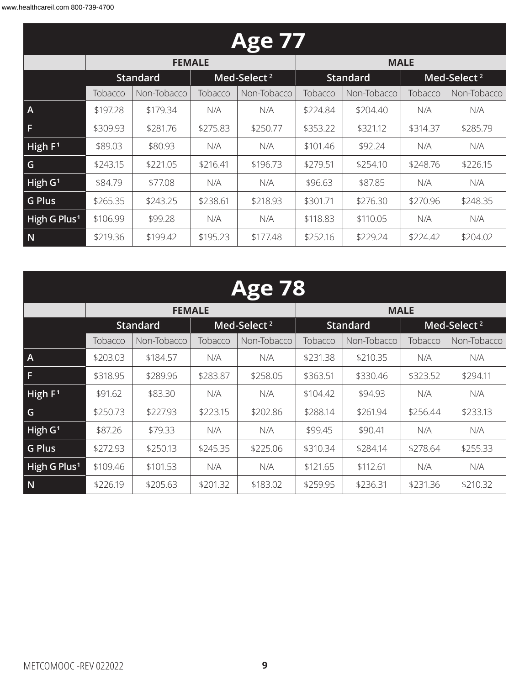| <b>Age 77</b>            |                        |                 |          |                         |          |                 |          |                         |  |  |
|--------------------------|------------------------|-----------------|----------|-------------------------|----------|-----------------|----------|-------------------------|--|--|
|                          |                        | <b>FEMALE</b>   |          |                         |          | <b>MALE</b>     |          |                         |  |  |
|                          |                        | <b>Standard</b> |          | Med-Select <sup>2</sup> |          | <b>Standard</b> |          | Med-Select <sup>2</sup> |  |  |
|                          | Tobacco<br>Non-Tobacco |                 | Tobacco  | Non-Tobacco             | Tobacco  | Non-Tobacco     | Tobacco  | Non-Tobacco             |  |  |
| $\mathsf{A}$             | \$197.28               | \$179.34        | N/A      | N/A                     | \$224.84 | \$204.40        | N/A      | N/A                     |  |  |
| F                        | \$309.93               | \$281.76        | \$275.83 | \$250.77                | \$353.22 | \$321.12        | \$314.37 | \$285.79                |  |  |
| High $F1$                | \$89.03                | \$80.93         | N/A      | N/A                     | \$101.46 | \$92.24         | N/A      | N/A                     |  |  |
| G                        | \$243.15               | \$221.05        | \$216.41 | \$196.73                | \$279.51 | \$254.10        | \$248.76 | \$226.15                |  |  |
| High $G1$                | \$84.79                | \$77.08         | N/A      | N/A                     | \$96.63  | \$87.85         | N/A      | N/A                     |  |  |
| <b>G Plus</b>            | \$265.35               | \$243.25        | \$238.61 | \$218.93                | \$301.71 | \$276.30        | \$270.96 | \$248.35                |  |  |
| High G Plus <sup>1</sup> | \$106.99               | \$99.28         | N/A      | N/A                     | \$118.83 | \$110.05        | N/A      | N/A                     |  |  |
| N                        | \$219.36               | \$199.42        | \$195.23 | \$177.48                | \$252.16 | \$229.24        | \$224.42 | \$204.02                |  |  |

| $\mathbf{A}$<br><b>(•)</b> |  |
|----------------------------|--|
|                            |  |

|                          |          | <b>FEMALE</b>   |          |                         | <b>MALE</b> |                 |          |                         |  |
|--------------------------|----------|-----------------|----------|-------------------------|-------------|-----------------|----------|-------------------------|--|
|                          |          | <b>Standard</b> |          | Med-Select <sup>2</sup> |             | <b>Standard</b> |          | Med-Select <sup>2</sup> |  |
|                          | Tobacco  | Non-Tobacco     | Tobacco  | Non-Tobacco             | Tobacco     | Non-Tobacco     | Tobacco  | Non-Tobacco             |  |
| $\overline{A}$           | \$203.03 | \$184.57        | N/A      | N/A                     | \$231.38    | \$210.35        | N/A      | N/A                     |  |
| l Fl                     | \$318.95 | \$289.96        | \$283.87 | \$258.05                | \$363.51    | \$330.46        | \$323.52 | \$294.11                |  |
| High F <sup>1</sup>      | \$91.62  | \$83.30         | N/A      | N/A                     | \$104.42    | \$94.93         | N/A      | N/A                     |  |
| $\overline{\mathsf{G}}$  | \$250.73 | \$227.93        | \$223.15 | \$202.86                | \$288.14    | \$261.94        | \$256.44 | \$233.13                |  |
| High G <sup>1</sup>      | \$87.26  | \$79.33         | N/A      | N/A                     | \$99.45     | \$90.41         | N/A      | N/A                     |  |
| G Plus                   | \$272.93 | \$250.13        | \$245.35 | \$225.06                | \$310.34    | \$284.14        | \$278.64 | \$255.33                |  |
| High G Plus <sup>1</sup> | \$109.46 | \$101.53        | N/A      | N/A                     | \$121.65    | \$112.61        | N/A      | N/A                     |  |
| $\overline{\mathsf{N}}$  | \$226.19 | \$205.63        | \$201.32 | \$183.02                | \$259.95    | \$236.31        | \$231.36 | \$210.32                |  |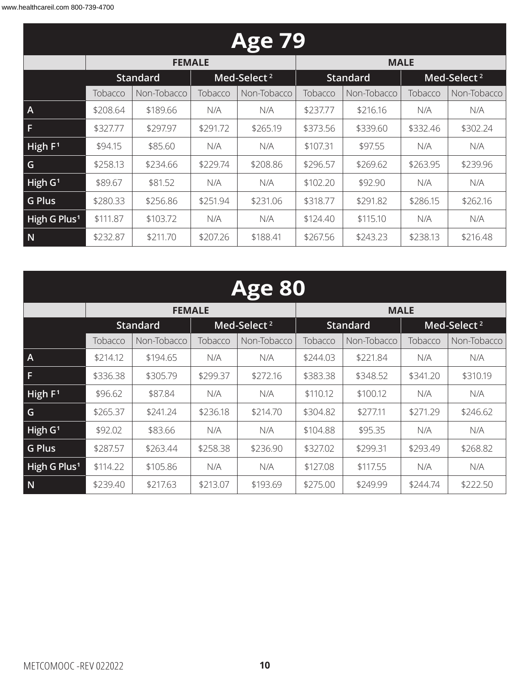| <b>Age 79</b>            |          |                 |          |                         |          |                 |                         |             |  |  |  |
|--------------------------|----------|-----------------|----------|-------------------------|----------|-----------------|-------------------------|-------------|--|--|--|
|                          |          | <b>FEMALE</b>   |          |                         |          | <b>MALE</b>     |                         |             |  |  |  |
|                          |          | <b>Standard</b> |          | Med-Select <sup>2</sup> |          | <b>Standard</b> | Med-Select <sup>2</sup> |             |  |  |  |
|                          | Tobacco  | Non-Tobacco     | Tobacco  | Non-Tobacco             | Tobacco  | Non-Tobacco     | Tobacco                 | Non-Tobacco |  |  |  |
| $\overline{A}$           | \$208.64 | \$189.66        | N/A      | N/A                     | \$237.77 | \$216.16        | N/A                     | N/A         |  |  |  |
| F                        | \$327.77 | \$297.97        | \$291.72 | \$265.19                | \$373.56 | \$339.60        | \$332.46                | \$302.24    |  |  |  |
| High $F1$                | \$94.15  | \$85.60         | N/A      | N/A                     | \$107.31 | \$97.55         | N/A                     | N/A         |  |  |  |
| G                        | \$258.13 | \$234.66        | \$229.74 | \$208.86                | \$296.57 | \$269.62        | \$263.95                | \$239.96    |  |  |  |
| High $G1$                | \$89.67  | \$81.52         | N/A      | N/A                     | \$102.20 | \$92.90         | N/A                     | N/A         |  |  |  |
| <b>G Plus</b>            | \$280.33 | \$256.86        | \$251.94 | \$231.06                | \$318.77 | \$291.82        | \$286.15                | \$262.16    |  |  |  |
| High G Plus <sup>1</sup> | \$111.87 | \$103.72        | N/A      | N/A                     | \$124.40 | \$115.10        | N/A                     | N/A         |  |  |  |
| N                        | \$232.87 | \$211.70        | \$207.26 | \$188.41                | \$267.56 | \$243.23        | \$238.13                | \$216.48    |  |  |  |

|                          |          | <b>Age 80</b>   |          |                         |          |                 |          |                         |  |  |  |  |
|--------------------------|----------|-----------------|----------|-------------------------|----------|-----------------|----------|-------------------------|--|--|--|--|
|                          |          | <b>FEMALE</b>   |          |                         |          | <b>MALE</b>     |          |                         |  |  |  |  |
|                          |          | <b>Standard</b> |          | Med-Select <sup>2</sup> |          | <b>Standard</b> |          | Med-Select <sup>2</sup> |  |  |  |  |
|                          | Tobacco  | Non-Tobacco     | Tobacco  | Non-Tobacco             | Tobacco  | Non-Tobacco     | Tobacco  | Non-Tobacco             |  |  |  |  |
| $\overline{A}$           | \$214.12 | \$194.65        | N/A      | N/A                     | \$244.03 | \$221.84        | N/A      | N/A                     |  |  |  |  |
| F.                       | \$336.38 | \$305.79        | \$299.37 | \$272.16                | \$383.38 | \$348.52        | \$341.20 | \$310.19                |  |  |  |  |
| High $F1$                | \$96.62  | \$87.84         | N/A      | N/A                     | \$110.12 | \$100.12        | N/A      | N/A                     |  |  |  |  |
| G                        | \$265.37 | \$241.24        | \$236.18 | \$214.70                | \$304.82 | \$277.11        | \$271.29 | \$246.62                |  |  |  |  |
| High $G1$                | \$92.02  | \$83.66         | N/A      | N/A                     | \$104.88 | \$95.35         | N/A      | N/A                     |  |  |  |  |
| <b>G Plus</b>            | \$287.57 | \$263.44        | \$258.38 | \$236.90                | \$327.02 | \$299.31        | \$293.49 | \$268.82                |  |  |  |  |
| High G Plus <sup>1</sup> | \$114.22 | \$105.86        | N/A      | N/A                     | \$127.08 | \$117.55        | N/A      | N/A                     |  |  |  |  |
| N                        | \$239.40 | \$217.63        | \$213.07 | \$193.69                | \$275.00 | \$249.99        | \$244.74 | \$222.50                |  |  |  |  |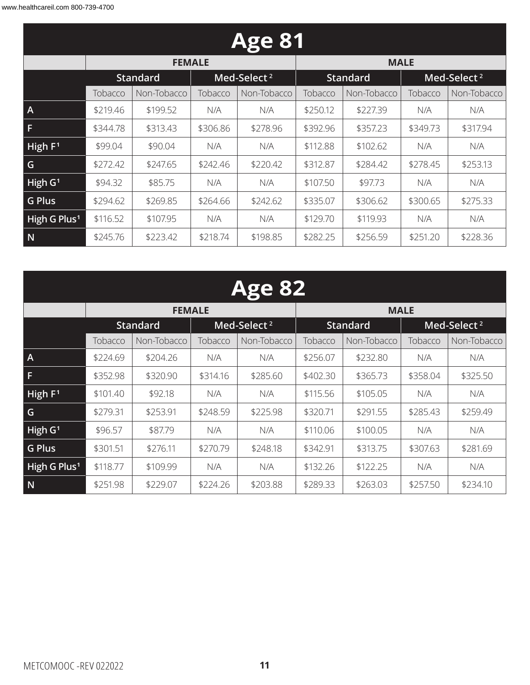| <b>Age 81</b>            |          |                              |          |                         |          |                 |          |                         |  |  |  |
|--------------------------|----------|------------------------------|----------|-------------------------|----------|-----------------|----------|-------------------------|--|--|--|
|                          |          | <b>FEMALE</b><br><b>MALE</b> |          |                         |          |                 |          |                         |  |  |  |
|                          |          | <b>Standard</b>              |          | Med-Select <sup>2</sup> |          | <b>Standard</b> |          | Med-Select <sup>2</sup> |  |  |  |
|                          | Tobacco  | Non-Tobacco                  | Tobacco  | Non-Tobacco             | Tobacco  | Non-Tobacco     | Tobacco  | Non-Tobacco             |  |  |  |
| $\overline{A}$           | \$219.46 | \$199.52                     | N/A      | N/A                     | \$250.12 | \$227.39        | N/A      | N/A                     |  |  |  |
| F                        | \$344.78 | \$313.43                     | \$306.86 | \$278.96                | \$392.96 | \$357.23        | \$349.73 | \$317.94                |  |  |  |
| High $F1$                | \$99.04  | \$90.04                      | N/A      | N/A                     | \$112.88 | \$102.62        | N/A      | N/A                     |  |  |  |
| G                        | \$272.42 | \$247.65                     | \$242.46 | \$220.42                | \$312.87 | \$284.42        | \$278.45 | \$253.13                |  |  |  |
| High $G1$                | \$94.32  | \$85.75                      | N/A      | N/A                     | \$107.50 | \$97.73         | N/A      | N/A                     |  |  |  |
| <b>G Plus</b>            | \$294.62 | \$269.85                     | \$264.66 | \$242.62                | \$335.07 | \$306.62        | \$300.65 | \$275.33                |  |  |  |
| High G Plus <sup>1</sup> | \$116.52 | \$107.95                     | N/A      | N/A                     | \$129.70 | \$119.93        | N/A      | N/A                     |  |  |  |
| N                        | \$245.76 | \$223.42                     | \$218.74 | \$198.85                | \$282.25 | \$256.59        | \$251.20 | \$228.36                |  |  |  |

|                          | <b>Age 82</b>          |                 |          |                         |          |                 |          |                         |  |  |  |
|--------------------------|------------------------|-----------------|----------|-------------------------|----------|-----------------|----------|-------------------------|--|--|--|
|                          |                        | <b>FEMALE</b>   |          |                         |          | <b>MALE</b>     |          |                         |  |  |  |
|                          |                        | <b>Standard</b> |          | Med-Select <sup>2</sup> |          | <b>Standard</b> |          | Med-Select <sup>2</sup> |  |  |  |
|                          | Tobacco<br>Non-Tobacco |                 | Tobacco  | Non-Tobacco             | Tobacco  | Non-Tobacco     | Tobacco  | Non-Tobacco             |  |  |  |
| $\mathsf{A}$             | \$224.69               | \$204.26        | N/A      | N/A                     | \$256.07 | \$232.80        | N/A      | N/A                     |  |  |  |
| F                        | \$352.98               | \$320.90        | \$314.16 | \$285.60                | \$402.30 | \$365.73        | \$358.04 | \$325.50                |  |  |  |
| High F <sup>1</sup>      | \$101.40               | \$92.18         | N/A      | N/A                     | \$115.56 | \$105.05        | N/A      | N/A                     |  |  |  |
| G                        | \$279.31               | \$253.91        | \$248.59 | \$225.98                | \$320.71 | \$291.55        | \$285.43 | \$259.49                |  |  |  |
| High G <sup>1</sup>      | \$96.57                | \$87.79         | N/A      | N/A                     | \$110.06 | \$100.05        | N/A      | N/A                     |  |  |  |
| <b>G Plus</b>            | \$301.51               | \$276.11        | \$270.79 | \$248.18                | \$342.91 | \$313.75        | \$307.63 | \$281.69                |  |  |  |
| High G Plus <sup>1</sup> | \$118.77               | \$109.99        | N/A      | N/A                     | \$132.26 | \$122.25        | N/A      | N/A                     |  |  |  |
| N                        | \$251.98               | \$229.07        | \$224.26 | \$203.88                | \$289.33 | \$263.03        | \$257.50 | \$234.10                |  |  |  |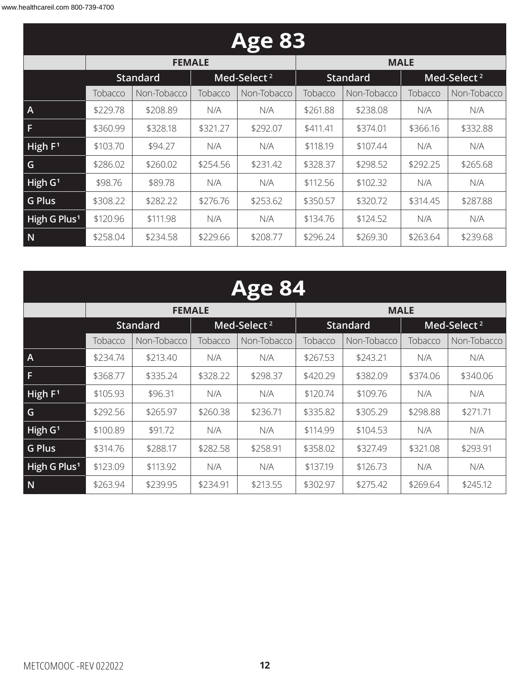| <b>Age 83</b>            |          |                              |          |                         |          |                 |          |                         |  |  |  |
|--------------------------|----------|------------------------------|----------|-------------------------|----------|-----------------|----------|-------------------------|--|--|--|
|                          |          | <b>MALE</b><br><b>FEMALE</b> |          |                         |          |                 |          |                         |  |  |  |
|                          |          | <b>Standard</b>              |          | Med-Select <sup>2</sup> |          | <b>Standard</b> |          | Med-Select <sup>2</sup> |  |  |  |
|                          | Tobacco  | Non-Tobacco                  | Tobacco  | Non-Tobacco             | Tobacco  | Non-Tobacco     | Tobacco  | Non-Tobacco             |  |  |  |
| $\mathsf{A}$             | \$229.78 | \$208.89                     | N/A      | N/A                     | \$261.88 | \$238.08        | N/A      | N/A                     |  |  |  |
| F                        | \$360.99 | \$328.18                     | \$321.27 | \$292.07                | \$411.41 | \$374.01        | \$366.16 | \$332.88                |  |  |  |
| High $F1$                | \$103.70 | \$94.27                      | N/A      | N/A                     | \$118.19 | \$107.44        | N/A      | N/A                     |  |  |  |
| G                        | \$286.02 | \$260.02                     | \$254.56 | \$231.42                | \$328.37 | \$298.52        | \$292.25 | \$265.68                |  |  |  |
| High $G1$                | \$98.76  | \$89.78                      | N/A      | N/A                     | \$112.56 | \$102.32        | N/A      | N/A                     |  |  |  |
| <b>G Plus</b>            | \$308.22 | \$282.22                     | \$276.76 | \$253.62                | \$350.57 | \$320.72        | \$314.45 | \$287.88                |  |  |  |
| High G Plus <sup>1</sup> | \$120.96 | \$111.98                     | N/A      | N/A                     | \$134.76 | \$124.52        | N/A      | N/A                     |  |  |  |
| N                        | \$258.04 | \$234.58                     | \$229.66 | \$208.77                | \$296.24 | \$269.30        | \$263.64 | \$239.68                |  |  |  |

|                          | <b>Age 84</b> |                 |          |                         |          |                 |          |                         |  |  |  |
|--------------------------|---------------|-----------------|----------|-------------------------|----------|-----------------|----------|-------------------------|--|--|--|
|                          |               | <b>FEMALE</b>   |          |                         |          | <b>MALE</b>     |          |                         |  |  |  |
|                          |               | <b>Standard</b> |          | Med-Select <sup>2</sup> |          | <b>Standard</b> |          | Med-Select <sup>2</sup> |  |  |  |
|                          | Tobacco       | Non-Tobacco     | Tobacco  | Non-Tobacco             | Tobacco  | Non-Tobacco     | Tobacco  | Non-Tobacco             |  |  |  |
| $\overline{A}$           | \$234.74      | \$213.40        | N/A      | N/A                     | \$267.53 | \$243.21        | N/A      | N/A                     |  |  |  |
| F.                       | \$368.77      | \$335.24        | \$328.22 | \$298.37                | \$420.29 | \$382.09        | \$374.06 | \$340.06                |  |  |  |
| High $F1$                | \$105.93      | \$96.31         | N/A      | N/A                     | \$120.74 | \$109.76        | N/A      | N/A                     |  |  |  |
| G                        | \$292.56      | \$265.97        | \$260.38 | \$236.71                | \$335.82 | \$305.29        | \$298.88 | \$271.71                |  |  |  |
| High $G1$                | \$100.89      | \$91.72         | N/A      | N/A                     | \$114.99 | \$104.53        | N/A      | N/A                     |  |  |  |
| <b>G Plus</b>            | \$314.76      | \$288.17        | \$282.58 | \$258.91                | \$358.02 | \$327.49        | \$321.08 | \$293.91                |  |  |  |
| High G Plus <sup>1</sup> | \$123.09      | \$113.92        | N/A      | N/A                     | \$137.19 | \$126.73        | N/A      | N/A                     |  |  |  |
| N                        | \$263.94      | \$239.95        | \$234.91 | \$213.55                | \$302.97 | \$275.42        | \$269.64 | \$245.12                |  |  |  |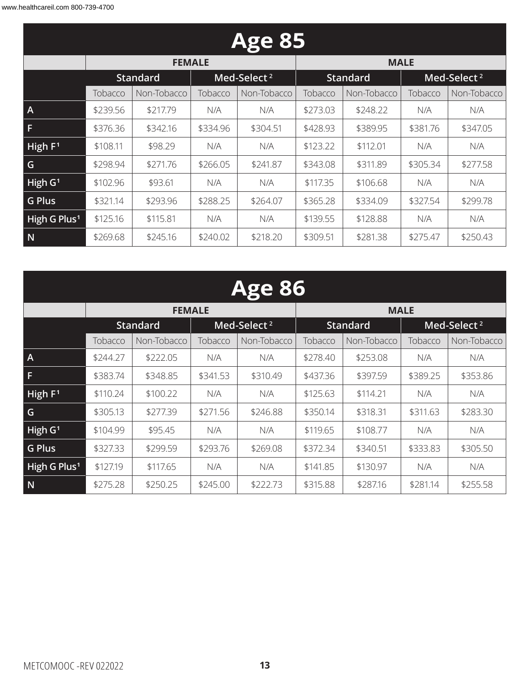| <b>Age 85</b>            |          |                        |          |                         |          |                 |          |                         |  |  |  |
|--------------------------|----------|------------------------|----------|-------------------------|----------|-----------------|----------|-------------------------|--|--|--|
|                          |          | <b>FEMALE</b>          |          |                         |          | <b>MALE</b>     |          |                         |  |  |  |
|                          |          | <b>Standard</b>        |          | Med-Select <sup>2</sup> |          | <b>Standard</b> |          | Med-Select <sup>2</sup> |  |  |  |
|                          | Tobacco  | Non-Tobacco<br>Tobacco |          | Non-Tobacco             | Tobacco  | Non-Tobacco     | Tobacco  | Non-Tobacco             |  |  |  |
| $\mathsf{A}$             | \$239.56 | \$217.79               | N/A      | N/A                     | \$273.03 | \$248.22        | N/A      | N/A                     |  |  |  |
| F                        | \$376.36 | \$342.16               | \$334.96 | \$304.51                | \$428.93 | \$389.95        | \$381.76 | \$347.05                |  |  |  |
| High $F1$                | \$108.11 | \$98.29                | N/A      | N/A                     | \$123.22 | \$112.01        | N/A      | N/A                     |  |  |  |
| G                        | \$298.94 | \$271.76               | \$266.05 | \$241.87                | \$343.08 | \$311.89        | \$305.34 | \$277.58                |  |  |  |
| High $G1$                | \$102.96 | \$93.61                | N/A      | N/A                     | \$117.35 | \$106.68        | N/A      | N/A                     |  |  |  |
| <b>G Plus</b>            | \$321.14 | \$293.96               | \$288.25 | \$264.07                | \$365.28 | \$334.09        | \$327.54 | \$299.78                |  |  |  |
| High G Plus <sup>1</sup> | \$125.16 | \$115.81               | N/A      | N/A                     | \$139.55 | \$128.88        | N/A      | N/A                     |  |  |  |
| N                        | \$269.68 | \$245.16               | \$240.02 | \$218.20                | \$309.51 | \$281.38        | \$275.47 | \$250.43                |  |  |  |

|                          | <b>Age 86</b>          |                 |          |                         |          |                 |          |                         |  |  |  |
|--------------------------|------------------------|-----------------|----------|-------------------------|----------|-----------------|----------|-------------------------|--|--|--|
|                          |                        | <b>FEMALE</b>   |          |                         |          | <b>MALE</b>     |          |                         |  |  |  |
|                          |                        | <b>Standard</b> |          | Med-Select <sup>2</sup> |          | <b>Standard</b> |          | Med-Select <sup>2</sup> |  |  |  |
|                          | Tobacco<br>Non-Tobacco |                 | Tobacco  | Non-Tobacco             | Tobacco  | Non-Tobacco     | Tobacco  | Non-Tobacco             |  |  |  |
| $\mathsf{A}$             | \$244.27               | \$222.05        | N/A      | N/A                     | \$278.40 | \$253.08        | N/A      | N/A                     |  |  |  |
| F.                       | \$383.74               | \$348.85        | \$341.53 | \$310.49                | \$437.36 | \$397.59        | \$389.25 | \$353.86                |  |  |  |
| High $F1$                | \$110.24               | \$100.22        | N/A      | N/A                     | \$125.63 | \$114.21        | N/A      | N/A                     |  |  |  |
| G                        | \$305.13               | \$277.39        | \$271.56 | \$246.88                | \$350.14 | \$318.31        | \$311.63 | \$283.30                |  |  |  |
| High $G1$                | \$104.99               | \$95.45         | N/A      | N/A                     | \$119.65 | \$108.77        | N/A      | N/A                     |  |  |  |
| <b>G Plus</b>            | \$327.33               | \$299.59        | \$293.76 | \$269.08                | \$372.34 | \$340.51        | \$333.83 | \$305.50                |  |  |  |
| High G Plus <sup>1</sup> | \$127.19               | \$117.65        | N/A      | N/A                     | \$141.85 | \$130.97        | N/A      | N/A                     |  |  |  |
| N                        | \$275.28               | \$250.25        | \$245.00 | \$222.73                | \$315.88 | \$287.16        | \$281.14 | \$255.58                |  |  |  |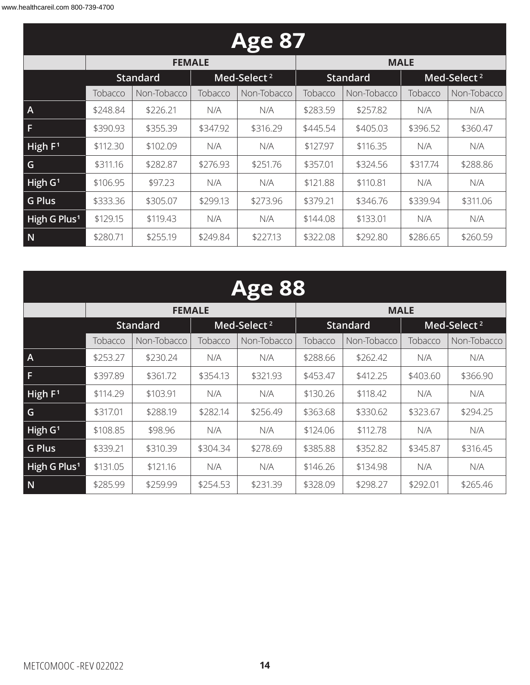| <b>Age 87</b>            |          |                 |          |                         |          |                 |          |                         |  |  |
|--------------------------|----------|-----------------|----------|-------------------------|----------|-----------------|----------|-------------------------|--|--|
|                          |          | <b>FEMALE</b>   |          |                         |          | <b>MALE</b>     |          |                         |  |  |
|                          |          | <b>Standard</b> |          | Med-Select <sup>2</sup> |          | <b>Standard</b> |          | Med-Select <sup>2</sup> |  |  |
|                          | Tobacco  | Non-Tobacco     | Tobacco  | Non-Tobacco             | Tobacco  | Non-Tobacco     | Tobacco  | Non-Tobacco             |  |  |
| $\overline{A}$           | \$248.84 | \$226.21        | N/A      | N/A                     | \$283.59 | \$257.82        | N/A      | N/A                     |  |  |
| F                        | \$390.93 | \$355.39        | \$347.92 | \$316.29                | \$445.54 | \$405.03        | \$396.52 | \$360.47                |  |  |
| High $F1$                | \$112.30 | \$102.09        | N/A      | N/A                     | \$127.97 | \$116.35        | N/A      | N/A                     |  |  |
| G                        | \$311.16 | \$282.87        | \$276.93 | \$251.76                | \$357.01 | \$324.56        | \$317.74 | \$288.86                |  |  |
| High $G1$                | \$106.95 | \$97.23         | N/A      | N/A                     | \$121.88 | \$110.81        | N/A      | N/A                     |  |  |
| <b>G Plus</b>            | \$333.36 | \$305.07        | \$299.13 | \$273.96                | \$379.21 | \$346.76        | \$339.94 | \$311.06                |  |  |
| High G Plus <sup>1</sup> | \$129.15 | \$119.43        | N/A      | N/A                     | \$144.08 | \$133.01        | N/A      | N/A                     |  |  |
| N                        | \$280.71 | \$255.19        | \$249.84 | \$227.13                | \$322.08 | \$292.80        | \$286.65 | \$260.59                |  |  |

|                          | <b>Age 88</b> |                 |                        |                         |          |                 |          |                         |  |  |
|--------------------------|---------------|-----------------|------------------------|-------------------------|----------|-----------------|----------|-------------------------|--|--|
|                          |               | <b>FEMALE</b>   |                        |                         |          | <b>MALE</b>     |          |                         |  |  |
|                          |               | <b>Standard</b> |                        | Med-Select <sup>2</sup> |          | <b>Standard</b> |          | Med-Select <sup>2</sup> |  |  |
|                          | Tobacco       | Non-Tobacco     | Non-Tobacco<br>Tobacco |                         | Tobacco  | Non-Tobacco     | Tobacco  | Non-Tobacco             |  |  |
| $\overline{A}$           | \$253.27      | \$230.24        | N/A                    | N/A                     | \$288.66 | \$262.42        | N/A      | N/A                     |  |  |
| F                        | \$397.89      | \$361.72        | \$354.13               | \$321.93                | \$453.47 | \$412.25        | \$403.60 | \$366.90                |  |  |
| High $F1$                | \$114.29      | \$103.91        | N/A                    | N/A                     | \$130.26 | \$118.42        | N/A      | N/A                     |  |  |
| G                        | \$317.01      | \$288.19        | \$282.14               | \$256.49                | \$363.68 | \$330.62        | \$323.67 | \$294.25                |  |  |
| High G <sup>1</sup>      | \$108.85      | \$98.96         | N/A                    | N/A                     | \$124.06 | \$112.78        | N/A      | N/A                     |  |  |
| <b>G Plus</b>            | \$339.21      | \$310.39        | \$304.34               | \$278.69                | \$385.88 | \$352.82        | \$345.87 | \$316.45                |  |  |
| High G Plus <sup>1</sup> | \$131.05      | \$121.16        | N/A                    | N/A                     | \$146.26 | \$134.98        | N/A      | N/A                     |  |  |
| N                        | \$285.99      | \$259.99        | \$254.53               | \$231.39                | \$328.09 | \$298.27        | \$292.01 | \$265.46                |  |  |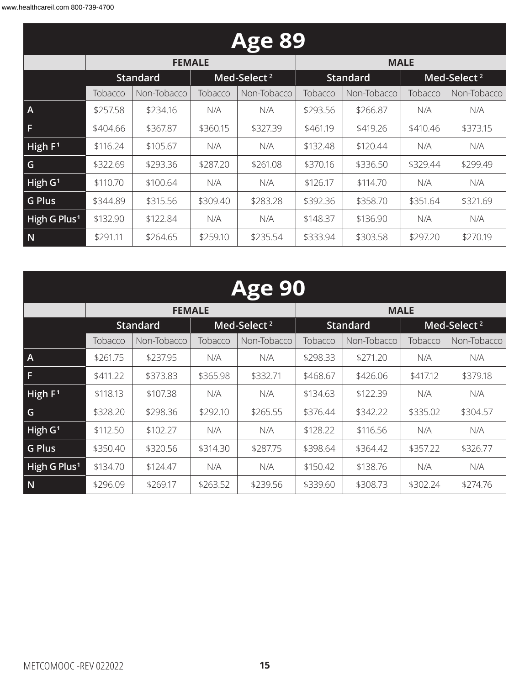| <b>Age 89</b>            |          |                 |          |                         |          |                 |          |                         |  |  |
|--------------------------|----------|-----------------|----------|-------------------------|----------|-----------------|----------|-------------------------|--|--|
|                          |          | <b>FEMALE</b>   |          |                         |          | <b>MALE</b>     |          |                         |  |  |
|                          |          | <b>Standard</b> |          | Med-Select <sup>2</sup> |          | <b>Standard</b> |          | Med-Select <sup>2</sup> |  |  |
|                          | Tobacco  | Non-Tobacco     | Tobacco  | Non-Tobacco             | Tobacco  | Non-Tobacco     | Tobacco  | Non-Tobacco             |  |  |
| $\mathsf{A}$             | \$257.58 | \$234.16        | N/A      | N/A                     | \$293.56 | \$266.87        | N/A      | N/A                     |  |  |
| F                        | \$404.66 | \$367.87        | \$360.15 | \$327.39                | \$461.19 | \$419.26        | \$410.46 | \$373.15                |  |  |
| High $F1$                | \$116.24 | \$105.67        | N/A      | N/A                     | \$132.48 | \$120.44        | N/A      | N/A                     |  |  |
| G                        | \$322.69 | \$293.36        | \$287.20 | \$261.08                | \$370.16 | \$336.50        | \$329.44 | \$299.49                |  |  |
| High $G1$                | \$110.70 | \$100.64        | N/A      | N/A                     | \$126.17 | \$114.70        | N/A      | N/A                     |  |  |
| <b>G Plus</b>            | \$344.89 | \$315.56        | \$309.40 | \$283.28                | \$392.36 | \$358.70        | \$351.64 | \$321.69                |  |  |
| High G Plus <sup>1</sup> | \$132.90 | \$122.84        | N/A      | N/A                     | \$148.37 | \$136.90        | N/A      | N/A                     |  |  |
| N                        | \$291.11 | \$264.65        | \$259.10 | \$235.54                | \$333.94 | \$303.58        | \$297.20 | \$270.19                |  |  |

|                          | <b>Age 90</b> |                 |          |                         |          |                 |          |                         |  |  |  |
|--------------------------|---------------|-----------------|----------|-------------------------|----------|-----------------|----------|-------------------------|--|--|--|
|                          |               | <b>FEMALE</b>   |          |                         |          | <b>MALE</b>     |          |                         |  |  |  |
|                          |               | <b>Standard</b> |          | Med-Select <sup>2</sup> |          | <b>Standard</b> |          | Med-Select <sup>2</sup> |  |  |  |
|                          | Tobacco       | Non-Tobacco     | Tobacco  | Non-Tobacco<br>Tobacco  |          | Non-Tobacco     | Tobacco  | Non-Tobacco             |  |  |  |
| $\overline{A}$           | \$261.75      | \$237.95        | N/A      | N/A                     | \$298.33 | \$271.20        | N/A      | N/A                     |  |  |  |
| F                        | \$411.22      | \$373.83        | \$365.98 | \$332.71                | \$468.67 | \$426.06        | \$417.12 | \$379.18                |  |  |  |
| High $F1$                | \$118.13      | \$107.38        | N/A      | N/A                     | \$134.63 | \$122.39        | N/A      | N/A                     |  |  |  |
| G                        | \$328.20      | \$298.36        | \$292.10 | \$265.55                | \$376.44 | \$342.22        | \$335.02 | \$304.57                |  |  |  |
| High G <sup>1</sup>      | \$112.50      | \$102.27        | N/A      | N/A                     | \$128.22 | \$116.56        | N/A      | N/A                     |  |  |  |
| <b>G Plus</b>            | \$350.40      | \$320.56        | \$314.30 | \$287.75                | \$398.64 | \$364.42        | \$357.22 | \$326.77                |  |  |  |
| High G Plus <sup>1</sup> | \$134.70      | \$124.47        | N/A      | N/A                     | \$150.42 | \$138.76        | N/A      | N/A                     |  |  |  |
| N                        | \$296.09      | \$269.17        | \$263.52 | \$239.56                | \$339.60 | \$308.73        | \$302.24 | \$274.76                |  |  |  |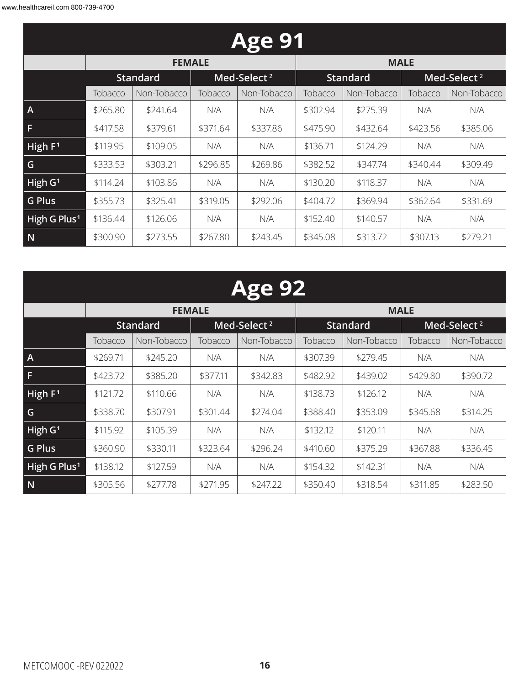| <b>Age 91</b>            |          |                 |          |                         |          |                 |                                                                                                                               |          |  |  |
|--------------------------|----------|-----------------|----------|-------------------------|----------|-----------------|-------------------------------------------------------------------------------------------------------------------------------|----------|--|--|
|                          |          | <b>FEMALE</b>   |          |                         |          | <b>MALE</b>     |                                                                                                                               |          |  |  |
|                          |          | <b>Standard</b> |          | Med-Select <sup>2</sup> |          | <b>Standard</b> | Med-Select <sup>2</sup><br>Tobacco<br>Non-Tobacco<br>N/A<br>N/A<br>\$423.56<br>\$385.06<br>N/A<br>N/A<br>\$340.44<br>\$309.49 |          |  |  |
|                          | Tobacco  | Non-Tobacco     | Tobacco  | Non-Tobacco             | Tobacco  | Non-Tobacco     |                                                                                                                               |          |  |  |
| $\overline{A}$           | \$265.80 | \$241.64        | N/A      | N/A                     | \$302.94 | \$275.39        |                                                                                                                               |          |  |  |
| F                        | \$417.58 | \$379.61        | \$371.64 | \$337.86                | \$475.90 | \$432.64        |                                                                                                                               |          |  |  |
| High $F1$                | \$119.95 | \$109.05        | N/A      | N/A                     | \$136.71 | \$124.29        |                                                                                                                               |          |  |  |
| G                        | \$333.53 | \$303.21        | \$296.85 | \$269.86                | \$382.52 | \$347.74        |                                                                                                                               |          |  |  |
| High $G1$                | \$114.24 | \$103.86        | N/A      | N/A                     | \$130.20 | \$118.37        | N/A                                                                                                                           | N/A      |  |  |
| <b>G Plus</b>            | \$355.73 | \$325.41        | \$319.05 | \$292.06                | \$404.72 | \$369.94        | \$362.64                                                                                                                      | \$331.69 |  |  |
| High G Plus <sup>1</sup> | \$136.44 | \$126.06        | N/A      | N/A                     | \$152.40 | \$140.57        | N/A                                                                                                                           | N/A      |  |  |
| N                        | \$300.90 | \$273.55        | \$267.80 | \$243.45                | \$345.08 | \$313.72        | \$307.13                                                                                                                      | \$279.21 |  |  |

### **Age 92 FEMALE MALE Standard Med-Select <sup>2</sup> Standard Med-Select <sup>2</sup>**

|                          |          | <b>Jlahuaru</b> |          | MCU-SCIELL  |          | blanuai u   |          | ivicu-sciect |
|--------------------------|----------|-----------------|----------|-------------|----------|-------------|----------|--------------|
|                          | Tobacco  | Non-Tobacco     | Tobacco  | Non-Tobacco | Tobacco  | Non-Tobacco | Tobacco  | Non-Tobacco  |
| $\overline{A}$           | \$269.71 | \$245.20        | N/A      | N/A         | \$307.39 | \$279.45    | N/A      | N/A          |
| F                        | \$423.72 | \$385.20        | \$377.11 | \$342.83    | \$482.92 | \$439.02    | \$429.80 | \$390.72     |
| High $F1$                | \$121.72 | \$110.66        | N/A      | N/A         | \$138.73 | \$126.12    | N/A      | N/A          |
| G                        | \$338.70 | \$307.91        | \$301.44 | \$274.04    | \$388.40 | \$353.09    | \$345.68 | \$314.25     |
| High $G1$                | \$115.92 | \$105.39        | N/A      | N/A         | \$132.12 | \$120.11    | N/A      | N/A          |
| <b>G Plus</b>            | \$360.90 | \$330.11        | \$323.64 | \$296.24    | \$410.60 | \$375.29    | \$367.88 | \$336.45     |
| High G Plus <sup>1</sup> | \$138.12 | \$127.59        | N/A      | N/A         | \$154.32 | \$142.31    | N/A      | N/A          |
| N                        | \$305.56 | \$277.78        | \$271.95 | \$247.22    | \$350.40 | \$318.54    | \$311.85 | \$283.50     |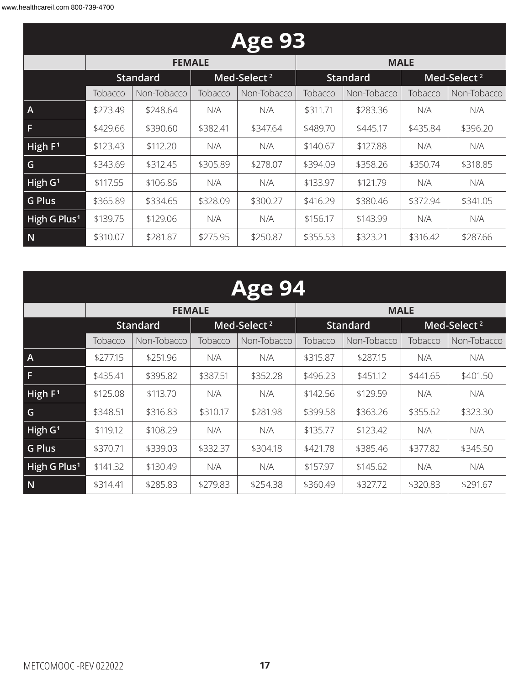| <b>Age 93</b>            |          |                 |          |                         |          |                 |          |                         |  |  |
|--------------------------|----------|-----------------|----------|-------------------------|----------|-----------------|----------|-------------------------|--|--|
|                          |          | <b>FEMALE</b>   |          |                         |          | <b>MALE</b>     |          |                         |  |  |
|                          |          | <b>Standard</b> |          | Med-Select <sup>2</sup> |          | <b>Standard</b> |          | Med-Select <sup>2</sup> |  |  |
|                          | Tobacco  | Non-Tobacco     | Tobacco  | Non-Tobacco             | Tobacco  | Non-Tobacco     | Tobacco  | Non-Tobacco             |  |  |
| $\mathsf{A}$             | \$273.49 | \$248.64        | N/A      | N/A                     | \$311.71 | \$283.36        | N/A      | N/A                     |  |  |
| F                        | \$429.66 | \$390.60        | \$382.41 | \$347.64                | \$489.70 | \$445.17        | \$435.84 | \$396.20                |  |  |
| High $F1$                | \$123.43 | \$112.20        | N/A      | N/A                     | \$140.67 | \$127.88        | N/A      | N/A                     |  |  |
| G                        | \$343.69 | \$312.45        | \$305.89 | \$278.07                | \$394.09 | \$358.26        | \$350.74 | \$318.85                |  |  |
| High $G1$                | \$117.55 | \$106.86        | N/A      | N/A                     | \$133.97 | \$121.79        | N/A      | N/A                     |  |  |
| <b>G Plus</b>            | \$365.89 | \$334.65        | \$328.09 | \$300.27                | \$416.29 | \$380.46        | \$372.94 | \$341.05                |  |  |
| High G Plus <sup>1</sup> | \$139.75 | \$129.06        | N/A      | N/A                     | \$156.17 | \$143.99        | N/A      | N/A                     |  |  |
| N                        | \$310.07 | \$281.87        | \$275.95 | \$250.87                | \$355.53 | \$323.21        | \$316.42 | \$287.66                |  |  |

| <b>Age 94</b>            |          |                 |          |                         |          |             |          |                         |  |
|--------------------------|----------|-----------------|----------|-------------------------|----------|-------------|----------|-------------------------|--|
|                          |          | <b>FEMALE</b>   |          |                         |          | <b>MALE</b> |          |                         |  |
|                          |          | <b>Standard</b> |          | Med-Select <sup>2</sup> |          | Standard    |          | Med-Select <sup>2</sup> |  |
|                          | Tobacco  | Non-Tobacco     | Tobacco  | Non-Tobacco             | Tobacco  | Non-Tobacco | Tobacco  | Non-Tobacco             |  |
| Α                        | \$277.15 | \$251.96        | N/A      | N/A                     | \$315.87 | \$287.15    | N/A      | N/A                     |  |
| F.                       | \$435.41 | \$395.82        | \$387.51 | \$352.28                | \$496.23 | \$451.12    | \$441.65 | \$401.50                |  |
| High $F1$                | \$125.08 | \$113.70        | N/A      | N/A                     | \$142.56 | \$129.59    | N/A      | N/A                     |  |
| G                        | \$348.51 | \$316.83        | \$310.17 | \$281.98                | \$399.58 | \$363.26    | \$355.62 | \$323.30                |  |
| High G <sup>1</sup>      | \$119.12 | \$108.29        | N/A      | N/A                     | \$135.77 | \$123.42    | N/A      | N/A                     |  |
| <b>G Plus</b>            | \$370.71 | \$339.03        | \$332.37 | \$304.18                | \$421.78 | \$385.46    | \$377.82 | \$345.50                |  |
| High G Plus <sup>1</sup> | \$141.32 | \$130.49        | N/A      | N/A                     | \$157.97 | \$145.62    | N/A      | N/A                     |  |
| N                        | \$314.41 | \$285.83        | \$279.83 | \$254.38                | \$360.49 | \$327.72    | \$320.83 | \$291.67                |  |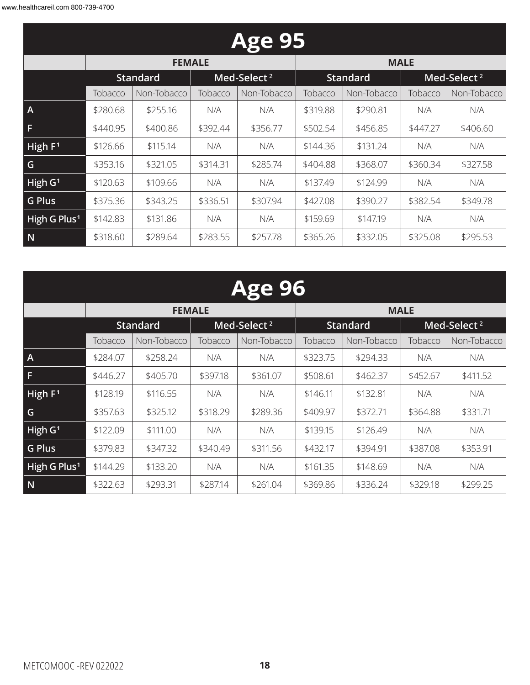| <b>Age 95</b>            |          |                 |          |                         |          |                 |          |                         |  |  |
|--------------------------|----------|-----------------|----------|-------------------------|----------|-----------------|----------|-------------------------|--|--|
|                          |          | <b>FEMALE</b>   |          |                         |          | <b>MALE</b>     |          |                         |  |  |
|                          |          | <b>Standard</b> |          | Med-Select <sup>2</sup> |          | <b>Standard</b> |          | Med-Select <sup>2</sup> |  |  |
|                          | Tobacco  | Non-Tobacco     | Tobacco  | Non-Tobacco             | Tobacco  | Non-Tobacco     | Tobacco  | Non-Tobacco             |  |  |
| $\overline{A}$           | \$280.68 | \$255.16        | N/A      | N/A                     | \$319.88 | \$290.81        | N/A      | N/A                     |  |  |
| F                        | \$440.95 | \$400.86        | \$392.44 | \$356.77                | \$502.54 | \$456.85        | \$447.27 | \$406.60                |  |  |
| High $F1$                | \$126.66 | \$115.14        | N/A      | N/A                     | \$144.36 | \$131.24        | N/A      | N/A                     |  |  |
| G                        | \$353.16 | \$321.05        | \$314.31 | \$285.74                | \$404.88 | \$368.07        | \$360.34 | \$327.58                |  |  |
| High $G1$                | \$120.63 | \$109.66        | N/A      | N/A                     | \$137.49 | \$124.99        | N/A      | N/A                     |  |  |
| <b>G Plus</b>            | \$375.36 | \$343.25        | \$336.51 | \$307.94                | \$427.08 | \$390.27        | \$382.54 | \$349.78                |  |  |
| High G Plus <sup>1</sup> | \$142.83 | \$131.86        | N/A      | N/A                     | \$159.69 | \$147.19        | N/A      | N/A                     |  |  |
| N                        | \$318.60 | \$289.64        | \$283.55 | \$257.78                | \$365.26 | \$332.05        | \$325.08 | \$295.53                |  |  |

| <b>Age 96</b>            |          |                 |               |                         |          |                 |          |                         |  |
|--------------------------|----------|-----------------|---------------|-------------------------|----------|-----------------|----------|-------------------------|--|
|                          |          |                 | <b>FEMALE</b> |                         |          | <b>MALE</b>     |          |                         |  |
|                          |          | <b>Standard</b> |               | Med-Select <sup>2</sup> |          | <b>Standard</b> |          | Med-Select <sup>2</sup> |  |
|                          | Tobacco  | Non-Tobacco     | Tobacco       | Non-Tobacco             | Tobacco  | Non-Tobacco     | Tobacco  | Non-Tobacco             |  |
| $\overline{A}$           | \$284.07 | \$258.24        | N/A           | N/A                     | \$323.75 | \$294.33        | N/A      | N/A                     |  |
| F                        | \$446.27 | \$405.70        | \$397.18      | \$361.07                | \$508.61 | \$462.37        | \$452.67 | \$411.52                |  |
| High $F1$                | \$128.19 | \$116.55        | N/A           | N/A                     | \$146.11 | \$132.81        | N/A      | N/A                     |  |
| G                        | \$357.63 | \$325.12        | \$318.29      | \$289.36                | \$409.97 | \$372.71        | \$364.88 | \$331.71                |  |
| High $G1$                | \$122.09 | \$111.00        | N/A           | N/A                     | \$139.15 | \$126.49        | N/A      | N/A                     |  |
| <b>G Plus</b>            | \$379.83 | \$347.32        | \$340.49      | \$311.56                | \$432.17 | \$394.91        | \$387.08 | \$353.91                |  |
| High G Plus <sup>1</sup> | \$144.29 | \$133.20        | N/A           | N/A                     | \$161.35 | \$148.69        | N/A      | N/A                     |  |
|                          |          |                 |               |                         |          |                 |          |                         |  |

**N** \$322.63 \$293.31 \$287.14 \$261.04 \$369.86 \$336.24 \$329.18 \$299.25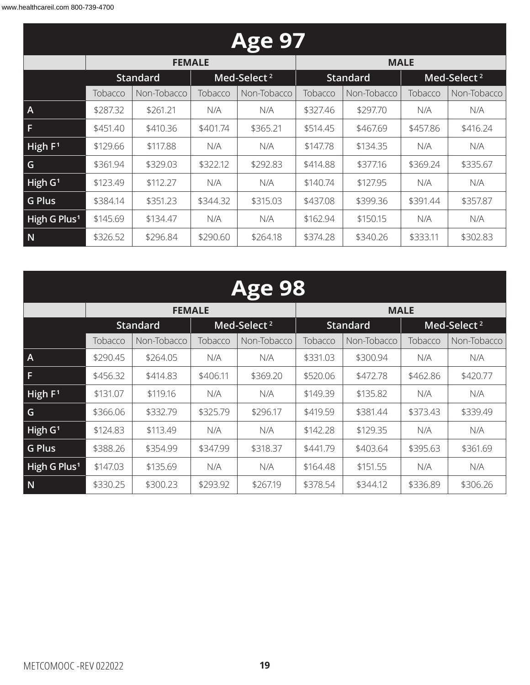| <b>Age 97</b>            |          |                                            |          |             |          |                 |          |                         |  |  |
|--------------------------|----------|--------------------------------------------|----------|-------------|----------|-----------------|----------|-------------------------|--|--|
|                          |          | <b>FEMALE</b>                              |          |             |          | <b>MALE</b>     |          |                         |  |  |
|                          |          | Med-Select <sup>2</sup><br><b>Standard</b> |          |             |          | <b>Standard</b> |          | Med-Select <sup>2</sup> |  |  |
|                          | Tobacco  | Non-Tobacco                                | Tobacco  | Non-Tobacco | Tobacco  | Non-Tobacco     | Tobacco  | Non-Tobacco             |  |  |
| $\overline{A}$           | \$287.32 | \$261.21                                   | N/A      | N/A         | \$327.46 | \$297.70        | N/A      | N/A                     |  |  |
| F                        | \$451.40 | \$410.36                                   | \$401.74 | \$365.21    | \$514.45 | \$467.69        | \$457.86 | \$416.24                |  |  |
| High $F1$                | \$129.66 | \$117.88                                   | N/A      | N/A         | \$147.78 | \$134.35        | N/A      | N/A                     |  |  |
| G                        | \$361.94 | \$329.03                                   | \$322.12 | \$292.83    | \$414.88 | \$377.16        | \$369.24 | \$335.67                |  |  |
| High $G1$                | \$123.49 | \$112.27                                   | N/A      | N/A         | \$140.74 | \$127.95        | N/A      | N/A                     |  |  |
| <b>G Plus</b>            | \$384.14 | \$351.23                                   | \$344.32 | \$315.03    | \$437.08 | \$399.36        | \$391.44 | \$357.87                |  |  |
| High G Plus <sup>1</sup> | \$145.69 | \$134.47                                   | N/A      | N/A         | \$162.94 | \$150.15        | N/A      | N/A                     |  |  |
| N                        | \$326.52 | \$296.84                                   | \$290.60 | \$264.18    | \$374.28 | \$340.26        | \$333.11 | \$302.83                |  |  |

|                          | <b>Age 98</b> |                 |          |                         |          |                 |          |                         |  |  |  |  |
|--------------------------|---------------|-----------------|----------|-------------------------|----------|-----------------|----------|-------------------------|--|--|--|--|
|                          |               | <b>FEMALE</b>   |          |                         |          | <b>MALE</b>     |          |                         |  |  |  |  |
|                          |               | <b>Standard</b> |          | Med-Select <sup>2</sup> |          | <b>Standard</b> |          | Med-Select <sup>2</sup> |  |  |  |  |
|                          | Tobacco       | Non-Tobacco     | Tobacco  | Non-Tobacco             | Tobacco  | Non-Tobacco     | Tobacco  | Non-Tobacco             |  |  |  |  |
| A                        | \$290.45      | \$264.05        | N/A      | N/A                     | \$331.03 | \$300.94        | N/A      | N/A                     |  |  |  |  |
|                          | \$456.32      | \$414.83        | \$406.11 | \$369.20                | \$520.06 | \$472.78        | \$462.86 | \$420.77                |  |  |  |  |
| High F <sup>1</sup>      | \$131.07      | \$119.16        | N/A      | N/A                     | \$149.39 | \$135.82        | N/A      | N/A                     |  |  |  |  |
| G                        | \$366.06      | \$332.79        | \$325.79 | \$296.17                | \$419.59 | \$381.44        | \$373.43 | \$339.49                |  |  |  |  |
| High G <sup>1</sup>      | \$124.83      | \$113.49        | N/A      | N/A                     | \$142.28 | \$129.35        | N/A      | N/A                     |  |  |  |  |
| <b>G Plus</b>            | \$388.26      | \$354.99        | \$347.99 | \$318.37                | \$441.79 | \$403.64        | \$395.63 | \$361.69                |  |  |  |  |
| High G Plus <sup>1</sup> | \$147.03      | \$135.69        | N/A      | N/A                     | \$164.48 | \$151.55        | N/A      | N/A                     |  |  |  |  |
| N                        | \$330.25      | \$300.23        | \$293.92 | \$267.19                | \$378.54 | \$344.12        | \$336.89 | \$306.26                |  |  |  |  |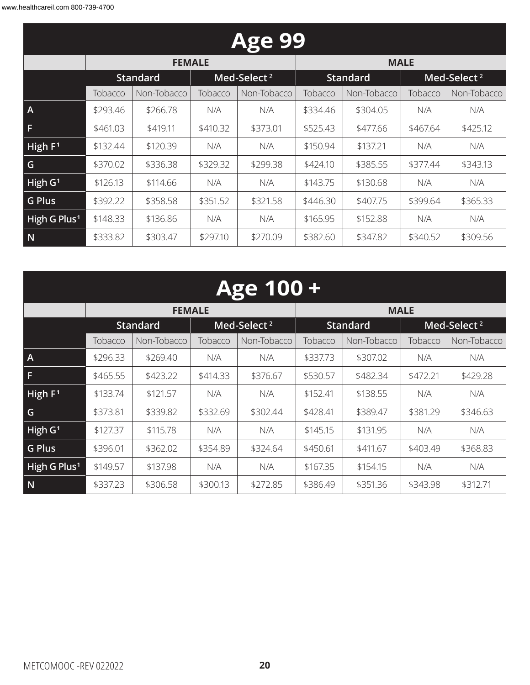| <b>Age 99</b>            |          |                 |          |                         |          |                 |          |                         |
|--------------------------|----------|-----------------|----------|-------------------------|----------|-----------------|----------|-------------------------|
|                          |          | <b>FEMALE</b>   |          |                         |          | <b>MALE</b>     |          |                         |
|                          |          | <b>Standard</b> |          | Med-Select <sup>2</sup> |          | <b>Standard</b> |          | Med-Select <sup>2</sup> |
|                          | Tobacco  | Non-Tobacco     | Tobacco  | Non-Tobacco             | Tobacco  | Non-Tobacco     | Tobacco  | Non-Tobacco             |
| $\overline{A}$           | \$293.46 | \$266.78        | N/A      | N/A                     | \$334.46 | \$304.05        | N/A      | N/A                     |
| F                        | \$461.03 | \$419.11        | \$410.32 | \$373.01                | \$525.43 | \$477.66        | \$467.64 | \$425.12                |
| High $F1$                | \$132.44 | \$120.39        | N/A      | N/A                     | \$150.94 | \$137.21        | N/A      | N/A                     |
| G                        | \$370.02 | \$336.38        | \$329.32 | \$299.38                | \$424.10 | \$385.55        | \$377.44 | \$343.13                |
| High $G1$                | \$126.13 | \$114.66        | N/A      | N/A                     | \$143.75 | \$130.68        | N/A      | N/A                     |
| <b>G Plus</b>            | \$392.22 | \$358.58        | \$351.52 | \$321.58                | \$446.30 | \$407.75        | \$399.64 | \$365.33                |
| High G Plus <sup>1</sup> | \$148.33 | \$136.86        | N/A      | N/A                     | \$165.95 | \$152.88        | N/A      | N/A                     |
| N                        | \$333.82 | \$303.47        | \$297.10 | \$270.09                | \$382.60 | \$347.82        | \$340.52 | \$309.56                |

| Age 100 +                |          |                 |          |                         |                 |             |                         |             |
|--------------------------|----------|-----------------|----------|-------------------------|-----------------|-------------|-------------------------|-------------|
|                          |          | <b>FEMALE</b>   |          |                         |                 | <b>MALE</b> |                         |             |
|                          |          | <b>Standard</b> |          | Med-Select <sup>2</sup> | <b>Standard</b> |             | Med-Select <sup>2</sup> |             |
|                          | Tobacco  | Non-Tobacco     | Tobacco  | Non-Tobacco             | Tobacco         | Non-Tobacco | Tobacco                 | Non-Tobacco |
| $\overline{A}$           | \$296.33 | \$269.40        | N/A      | N/A                     | \$337.73        | \$307.02    | N/A                     | N/A         |
| F                        | \$465.55 | \$423.22        | \$414.33 | \$376.67                | \$530.57        | \$482.34    | \$472.21                | \$429.28    |
| High $F1$                | \$133.74 | \$121.57        | N/A      | N/A                     | \$152.41        | \$138.55    | N/A                     | N/A         |
| G                        | \$373.81 | \$339.82        | \$332.69 | \$302.44                | \$428.41        | \$389.47    | \$381.29                | \$346.63    |
| High $G1$                | \$127.37 | \$115.78        | N/A      | N/A                     | \$145.15        | \$131.95    | N/A                     | N/A         |
| <b>G Plus</b>            | \$396.01 | \$362.02        | \$354.89 | \$324.64                | \$450.61        | \$411.67    | \$403.49                | \$368.83    |
| High G Plus <sup>1</sup> | \$149.57 | \$137.98        | N/A      | N/A                     | \$167.35        | \$154.15    | N/A                     | N/A         |
| N                        | \$337.23 | \$306.58        | \$300.13 | \$272.85                | \$386.49        | \$351.36    | \$343.98                | \$312.71    |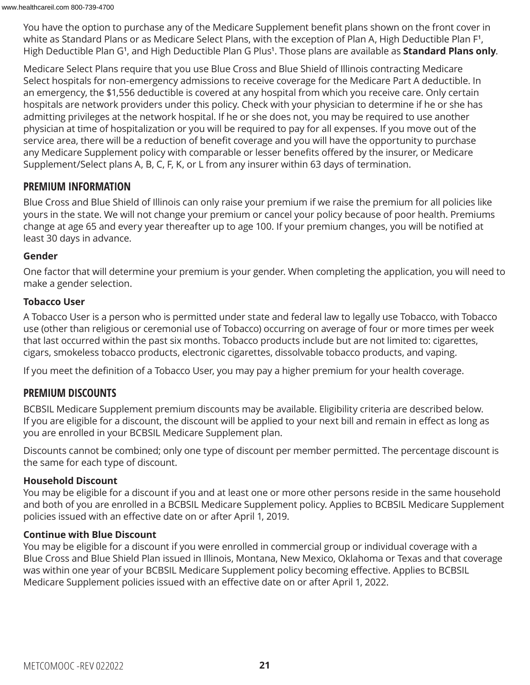You have the option to purchase any of the Medicare Supplement benefit plans shown on the front cover in white as Standard Plans or as Medicare Select Plans, with the exception of Plan A, High Deductible Plan F**1**, High Deductible Plan G**1**, and High Deductible Plan G Plus**<sup>1</sup>** . Those plans are available as **Standard Plans only**.

Medicare Select Plans require that you use Blue Cross and Blue Shield of Illinois contracting Medicare Select hospitals for non-emergency admissions to receive coverage for the Medicare Part A deductible. In an emergency, the \$1,556 deductible is covered at any hospital from which you receive care. Only certain hospitals are network providers under this policy. Check with your physician to determine if he or she has admitting privileges at the network hospital. If he or she does not, you may be required to use another physician at time of hospitalization or you will be required to pay for all expenses. If you move out of the service area, there will be a reduction of benefit coverage and you will have the opportunity to purchase any Medicare Supplement policy with comparable or lesser benefits offered by the insurer, or Medicare Supplement/Select plans A, B, C, F, K, or L from any insurer within 63 days of termination.

#### **PREMIUM INFORMATION**

Blue Cross and Blue Shield of Illinois can only raise your premium if we raise the premium for all policies like yours in the state. We will not change your premium or cancel your policy because of poor health. Premiums change at age 65 and every year thereafter up to age 100. If your premium changes, you will be notified at least 30 days in advance.

#### **Gender**

One factor that will determine your premium is your gender. When completing the application, you will need to make a gender selection.

#### **Tobacco User**

A Tobacco User is a person who is permitted under state and federal law to legally use Tobacco, with Tobacco use (other than religious or ceremonial use of Tobacco) occurring on average of four or more times per week that last occurred within the past six months. Tobacco products include but are not limited to: cigarettes, cigars, smokeless tobacco products, electronic cigarettes, dissolvable tobacco products, and vaping.

If you meet the definition of a Tobacco User, you may pay a higher premium for your health coverage.

#### **PREMIUM DISCOUNTS**

BCBSIL Medicare Supplement premium discounts may be available. Eligibility criteria are described below. If you are eligible for a discount, the discount will be applied to your next bill and remain in effect as long as you are enrolled in your BCBSIL Medicare Supplement plan.

Discounts cannot be combined; only one type of discount per member permitted. The percentage discount is the same for each type of discount.

#### **Household Discount**

You may be eligible for a discount if you and at least one or more other persons reside in the same household and both of you are enrolled in a BCBSIL Medicare Supplement policy. Applies to BCBSIL Medicare Supplement policies issued with an effective date on or after April 1, 2019.

#### **Continue with Blue Discount**

You may be eligible for a discount if you were enrolled in commercial group or individual coverage with a Blue Cross and Blue Shield Plan issued in Illinois, Montana, New Mexico, Oklahoma or Texas and that coverage was within one year of your BCBSIL Medicare Supplement policy becoming effective. Applies to BCBSIL Medicare Supplement policies issued with an effective date on or after April 1, 2022.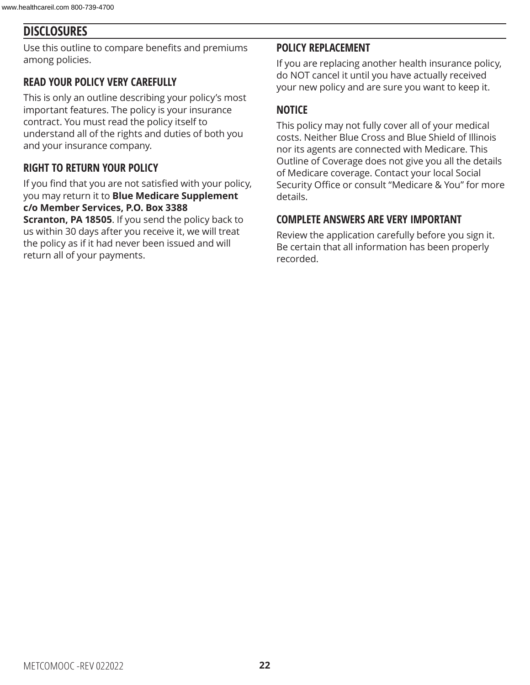### **DISCLOSURES**

Use this outline to compare benefits and premiums among policies.

### **READ YOUR POLICY VERY CAREFULLY**

This is only an outline describing your policy's most important features. The policy is your insurance contract. You must read the policy itself to understand all of the rights and duties of both you and your insurance company.

### **RIGHT TO RETURN YOUR POLICY**

If you find that you are not satisfied with your policy, you may return it to **Blue Medicare Supplement c/o Member Services, P.O. Box 3388** 

**Scranton, PA 18505**. If you send the policy back to us within 30 days after you receive it, we will treat the policy as if it had never been issued and will return all of your payments.

#### **POLICY REPLACEMENT**

If you are replacing another health insurance policy, do NOT cancel it until you have actually received your new policy and are sure you want to keep it.

#### **NOTICE**

This policy may not fully cover all of your medical costs. Neither Blue Cross and Blue Shield of Illinois nor its agents are connected with Medicare. This Outline of Coverage does not give you all the details of Medicare coverage. Contact your local Social Security Office or consult "Medicare & You" for more details.

#### **COMPLETE ANSWERS ARE VERY IMPORTANT**

Review the application carefully before you sign it. Be certain that all information has been properly recorded.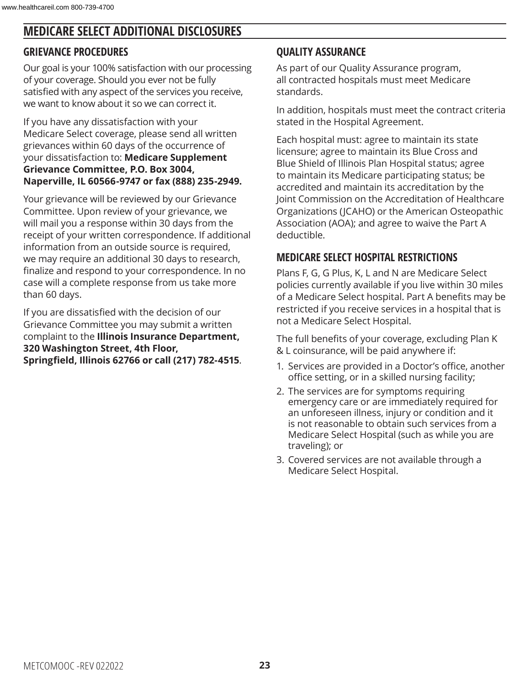### **MEDICARE SELECT ADDITIONAL DISCLOSURES**

### **GRIEVANCE PROCEDURES**

Our goal is your 100% satisfaction with our processing of your coverage. Should you ever not be fully satisfied with any aspect of the services you receive, we want to know about it so we can correct it.

If you have any dissatisfaction with your Medicare Select coverage, please send all written grievances within 60 days of the occurrence of your dissatisfaction to: **Medicare Supplement Grievance Committee, P.O. Box 3004, Naperville, IL 60566-9747 or fax (888) 235-2949.**

Your grievance will be reviewed by our Grievance Committee. Upon review of your grievance, we will mail you a response within 30 days from the receipt of your written correspondence. If additional information from an outside source is required, we may require an additional 30 days to research, finalize and respond to your correspondence. In no case will a complete response from us take more than 60 days.

If you are dissatisfied with the decision of our Grievance Committee you may submit a written complaint to the **Illinois Insurance Department, 320 Washington Street, 4th Floor, Springfield, Illinois 62766 or call (217) 782-4515**.

### **QUALITY ASSURANCE**

As part of our Quality Assurance program, all contracted hospitals must meet Medicare standards.

In addition, hospitals must meet the contract criteria stated in the Hospital Agreement.

Each hospital must: agree to maintain its state licensure; agree to maintain its Blue Cross and Blue Shield of Illinois Plan Hospital status; agree to maintain its Medicare participating status; be accredited and maintain its accreditation by the Joint Commission on the Accreditation of Healthcare Organizations (JCAHO) or the American Osteopathic Association (AOA); and agree to waive the Part A deductible.

### **MEDICARE SELECT HOSPITAL RESTRICTIONS**

Plans F, G, G Plus, K, L and N are Medicare Select policies currently available if you live within 30 miles of a Medicare Select hospital. Part A benefits may be restricted if you receive services in a hospital that is not a Medicare Select Hospital.

The full benefits of your coverage, excluding Plan K & L coinsurance, will be paid anywhere if:

- 1. Services are provided in a Doctor's office, another office setting, or in a skilled nursing facility;
- 2. The services are for symptoms requiring emergency care or are immediately required for an unforeseen illness, injury or condition and it is not reasonable to obtain such services from a Medicare Select Hospital (such as while you are traveling); or
- 3. Covered services are not available through a Medicare Select Hospital.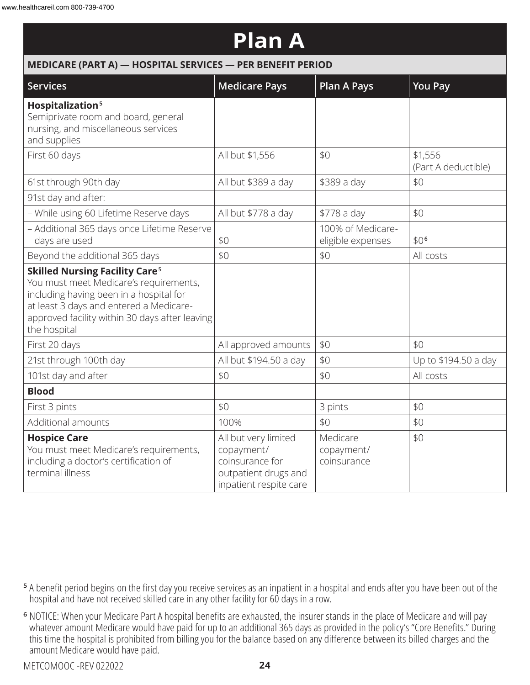| <b>Plan A</b>                                                                                                                                                                                                                                      |                                                                                                         |                                        |                                |  |  |
|----------------------------------------------------------------------------------------------------------------------------------------------------------------------------------------------------------------------------------------------------|---------------------------------------------------------------------------------------------------------|----------------------------------------|--------------------------------|--|--|
| MEDICARE (PART A) - HOSPITAL SERVICES - PER BENEFIT PERIOD                                                                                                                                                                                         |                                                                                                         |                                        |                                |  |  |
| Services                                                                                                                                                                                                                                           | <b>Medicare Pays</b>                                                                                    | <b>Plan A Pays</b>                     | <b>You Pay</b>                 |  |  |
| Hospitalization <sup>5</sup><br>Semiprivate room and board, general<br>nursing, and miscellaneous services<br>and supplies                                                                                                                         |                                                                                                         |                                        |                                |  |  |
| First 60 days                                                                                                                                                                                                                                      | All but \$1,556                                                                                         | \$0                                    | \$1,556<br>(Part A deductible) |  |  |
| 61st through 90th day                                                                                                                                                                                                                              | All but \$389 a day                                                                                     | \$389 a day                            | \$0                            |  |  |
| 91st day and after:                                                                                                                                                                                                                                |                                                                                                         |                                        |                                |  |  |
| - While using 60 Lifetime Reserve days                                                                                                                                                                                                             | All but \$778 a day                                                                                     | \$778 a day                            | \$0                            |  |  |
| - Additional 365 days once Lifetime Reserve<br>days are used                                                                                                                                                                                       | \$0                                                                                                     | 100% of Medicare-<br>eligible expenses | \$0 <sup>6</sup>               |  |  |
| Beyond the additional 365 days                                                                                                                                                                                                                     | \$0                                                                                                     | \$0                                    | All costs                      |  |  |
| <b>Skilled Nursing Facility Care<sup>5</sup></b><br>You must meet Medicare's requirements,<br>including having been in a hospital for<br>at least 3 days and entered a Medicare-<br>approved facility within 30 days after leaving<br>the hospital |                                                                                                         |                                        |                                |  |  |
| First 20 days                                                                                                                                                                                                                                      | All approved amounts                                                                                    | \$0                                    | \$0                            |  |  |
| 21st through 100th day                                                                                                                                                                                                                             | All but \$194.50 a day                                                                                  | \$0                                    | Up to \$194.50 a day           |  |  |
| 101st day and after                                                                                                                                                                                                                                | \$0                                                                                                     | \$0                                    | All costs                      |  |  |
| <b>Blood</b>                                                                                                                                                                                                                                       |                                                                                                         |                                        |                                |  |  |
| First 3 pints                                                                                                                                                                                                                                      | \$0                                                                                                     | 3 pints                                | \$0                            |  |  |
| Additional amounts                                                                                                                                                                                                                                 | 100%                                                                                                    | \$0                                    | \$0                            |  |  |
| <b>Hospice Care</b><br>You must meet Medicare's requirements,<br>including a doctor's certification of<br>terminal illness                                                                                                                         | All but very limited<br>copayment/<br>coinsurance for<br>outpatient drugs and<br>inpatient respite care | Medicare<br>copayment/<br>coinsurance  | \$0                            |  |  |

- **<sup>5</sup>** A benefit period begins on the first day you receive services as an inpatient in a hospital and ends after you have been out of the hospital and have not received skilled care in any other facility for 60 days in a row.
- **<sup>6</sup>** NOTICE: When your Medicare Part A hospital benefits are exhausted, the insurer stands in the place of Medicare and will pay whatever amount Medicare would have paid for up to an additional 365 days as provided in the policy's "Core Benefits." During this time the hospital is prohibited from billing you for the balance based on any difference between its billed charges and the amount Medicare would have paid.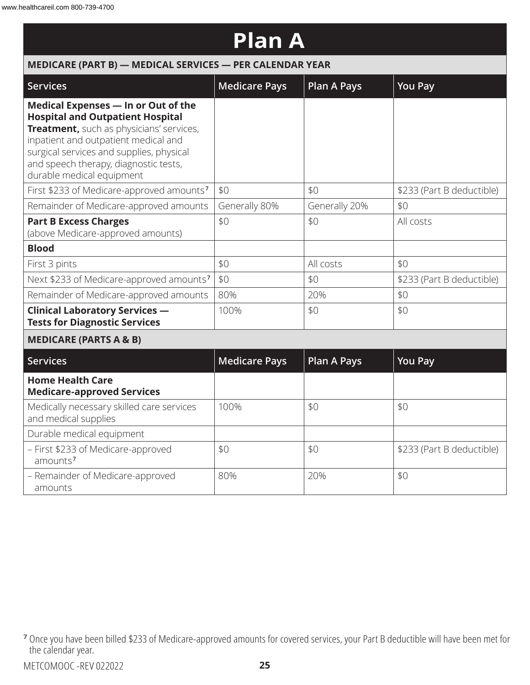| <b>Plan A</b>                                                                                                                                                                                                                                                                        |                      |                    |                           |  |  |
|--------------------------------------------------------------------------------------------------------------------------------------------------------------------------------------------------------------------------------------------------------------------------------------|----------------------|--------------------|---------------------------|--|--|
| MEDICARE (PART B) - MEDICAL SERVICES - PER CALENDAR YEAR                                                                                                                                                                                                                             |                      |                    |                           |  |  |
| <b>Services</b>                                                                                                                                                                                                                                                                      | <b>Medicare Pays</b> | <b>Plan A Pays</b> | <b>You Pay</b>            |  |  |
| Medical Expenses - In or Out of the<br><b>Hospital and Outpatient Hospital</b><br>Treatment, such as physicians' services,<br>inpatient and outpatient medical and<br>surgical services and supplies, physical<br>and speech therapy, diagnostic tests,<br>durable medical equipment |                      |                    |                           |  |  |
| First \$233 of Medicare-approved amounts <sup>7</sup>                                                                                                                                                                                                                                | \$0                  | \$0                | \$233 (Part B deductible) |  |  |
| Remainder of Medicare-approved amounts                                                                                                                                                                                                                                               | Generally 80%        | Generally 20%      | \$0                       |  |  |
| <b>Part B Excess Charges</b><br>(above Medicare-approved amounts)                                                                                                                                                                                                                    | \$0                  | \$0                | All costs                 |  |  |
| <b>Blood</b>                                                                                                                                                                                                                                                                         |                      |                    |                           |  |  |
| First 3 pints                                                                                                                                                                                                                                                                        | \$0                  | All costs          | \$0                       |  |  |
| Next \$233 of Medicare-approved amounts7                                                                                                                                                                                                                                             | \$0                  | \$0                | \$233 (Part B deductible) |  |  |
| Remainder of Medicare-approved amounts                                                                                                                                                                                                                                               | 80%                  | 20%                | \$0                       |  |  |
| <b>Clinical Laboratory Services -</b><br><b>Tests for Diagnostic Services</b>                                                                                                                                                                                                        | 100%                 | \$0                | \$0                       |  |  |
| <b>MEDICARE (PARTS A &amp; B)</b>                                                                                                                                                                                                                                                    |                      |                    |                           |  |  |
| <b>Services</b>                                                                                                                                                                                                                                                                      | <b>Medicare Pays</b> | <b>Plan A Pays</b> | <b>You Pay</b>            |  |  |
| <b>Home Health Care</b><br><b>Medicare-approved Services</b>                                                                                                                                                                                                                         |                      |                    |                           |  |  |
| Medically necessary skilled care services<br>and medical supplies                                                                                                                                                                                                                    | 100%                 | \$0                | \$0                       |  |  |
| Durable medical equipment                                                                                                                                                                                                                                                            |                      |                    |                           |  |  |
| - First \$233 of Medicare-approved<br>amounts <sup>7</sup>                                                                                                                                                                                                                           | \$0                  | \$0                | \$233 (Part B deductible) |  |  |
| - Remainder of Medicare-approved<br>amounts                                                                                                                                                                                                                                          | 80%                  | 20%                | \$0                       |  |  |

**<sup>7</sup>** Once you have been billed \$233 of Medicare-approved amounts for covered services, your Part B deductible will have been met for the calendar year.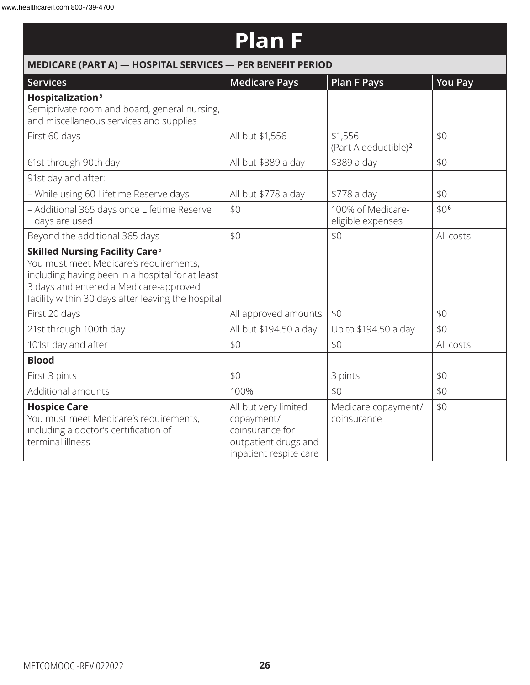### **Plan F**

| MEDICARE (PART A) - HOSPITAL SERVICES - PER BENEFIT PERIOD                                                                                                                                                                                     |                                                                                                         |                                             |                  |  |  |
|------------------------------------------------------------------------------------------------------------------------------------------------------------------------------------------------------------------------------------------------|---------------------------------------------------------------------------------------------------------|---------------------------------------------|------------------|--|--|
| <b>Services</b>                                                                                                                                                                                                                                | <b>Medicare Pays</b>                                                                                    | <b>Plan F Pays</b>                          | <b>You Pay</b>   |  |  |
| Hospitalization <sup>5</sup><br>Semiprivate room and board, general nursing,<br>and miscellaneous services and supplies                                                                                                                        |                                                                                                         |                                             |                  |  |  |
| First 60 days                                                                                                                                                                                                                                  | All but \$1,556                                                                                         | \$1,556<br>(Part A deductible) <sup>2</sup> | \$0              |  |  |
| 61st through 90th day                                                                                                                                                                                                                          | All but \$389 a day                                                                                     | \$389 a day                                 | \$0              |  |  |
| 91st day and after:                                                                                                                                                                                                                            |                                                                                                         |                                             |                  |  |  |
| - While using 60 Lifetime Reserve days                                                                                                                                                                                                         | All but \$778 a day                                                                                     | \$778 a day                                 | \$0              |  |  |
| - Additional 365 days once Lifetime Reserve<br>days are used                                                                                                                                                                                   | \$0                                                                                                     | 100% of Medicare-<br>eligible expenses      | \$0 <sup>6</sup> |  |  |
| Beyond the additional 365 days                                                                                                                                                                                                                 | \$0                                                                                                     | \$0                                         | All costs        |  |  |
| <b>Skilled Nursing Facility Care<sup>5</sup></b><br>You must meet Medicare's requirements,<br>including having been in a hospital for at least<br>3 days and entered a Medicare-approved<br>facility within 30 days after leaving the hospital |                                                                                                         |                                             |                  |  |  |
| First 20 days                                                                                                                                                                                                                                  | All approved amounts                                                                                    | \$0                                         | \$0              |  |  |
| 21st through 100th day                                                                                                                                                                                                                         | All but \$194.50 a day                                                                                  | Up to \$194.50 a day                        | \$0              |  |  |
| 101st day and after                                                                                                                                                                                                                            | \$0                                                                                                     | \$0                                         | All costs        |  |  |
| <b>Blood</b>                                                                                                                                                                                                                                   |                                                                                                         |                                             |                  |  |  |
| First 3 pints                                                                                                                                                                                                                                  | \$0                                                                                                     | 3 pints                                     | \$0              |  |  |
| Additional amounts                                                                                                                                                                                                                             | 100%                                                                                                    | \$0                                         | \$0              |  |  |
| <b>Hospice Care</b><br>You must meet Medicare's requirements,<br>including a doctor's certification of<br>terminal illness                                                                                                                     | All but very limited<br>copayment/<br>coinsurance for<br>outpatient drugs and<br>inpatient respite care | Medicare copayment/<br>coinsurance          | \$0              |  |  |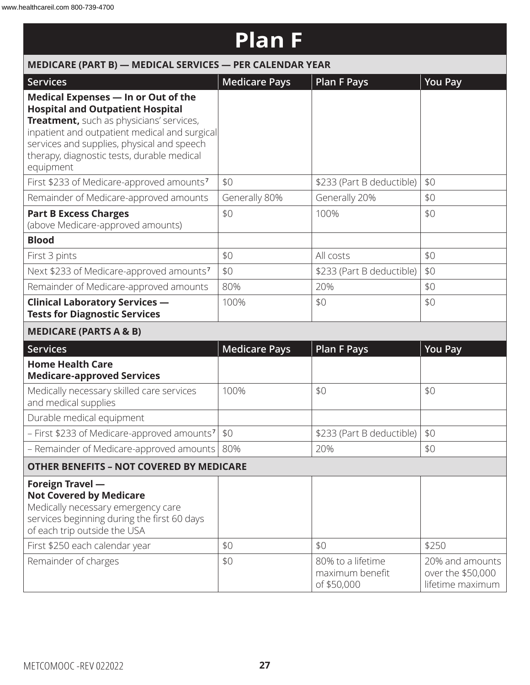### **Plan F**

| MEDICARE (PART B) - MEDICAL SERVICES - PER CALENDAR YEAR                                                                                                                                                                                                                             |                      |                                                     |                                                          |  |  |
|--------------------------------------------------------------------------------------------------------------------------------------------------------------------------------------------------------------------------------------------------------------------------------------|----------------------|-----------------------------------------------------|----------------------------------------------------------|--|--|
| <b>Services</b>                                                                                                                                                                                                                                                                      | <b>Medicare Pays</b> | <b>Plan F Pays</b>                                  | <b>You Pay</b>                                           |  |  |
| Medical Expenses - In or Out of the<br><b>Hospital and Outpatient Hospital</b><br>Treatment, such as physicians' services,<br>inpatient and outpatient medical and surgical<br>services and supplies, physical and speech<br>therapy, diagnostic tests, durable medical<br>equipment |                      |                                                     |                                                          |  |  |
| First \$233 of Medicare-approved amounts <sup>7</sup>                                                                                                                                                                                                                                | \$0                  | \$233 (Part B deductible)                           | \$0                                                      |  |  |
| Remainder of Medicare-approved amounts                                                                                                                                                                                                                                               | Generally 80%        | Generally 20%                                       | \$0                                                      |  |  |
| <b>Part B Excess Charges</b><br>(above Medicare-approved amounts)                                                                                                                                                                                                                    | \$0                  | 100%                                                | \$0                                                      |  |  |
| <b>Blood</b>                                                                                                                                                                                                                                                                         |                      |                                                     |                                                          |  |  |
| First 3 pints                                                                                                                                                                                                                                                                        | \$0                  | All costs                                           | \$0                                                      |  |  |
| Next \$233 of Medicare-approved amounts <sup>7</sup>                                                                                                                                                                                                                                 | \$0                  | \$233 (Part B deductible)                           | \$0                                                      |  |  |
| Remainder of Medicare-approved amounts                                                                                                                                                                                                                                               | 80%                  | 20%                                                 | \$0                                                      |  |  |
| <b>Clinical Laboratory Services -</b><br><b>Tests for Diagnostic Services</b>                                                                                                                                                                                                        | 100%                 | \$0                                                 | \$0                                                      |  |  |
| <b>MEDICARE (PARTS A &amp; B)</b>                                                                                                                                                                                                                                                    |                      |                                                     |                                                          |  |  |
| Services                                                                                                                                                                                                                                                                             | <b>Medicare Pays</b> | <b>Plan F Pays</b>                                  | <b>You Pay</b>                                           |  |  |
| <b>Home Health Care</b><br><b>Medicare-approved Services</b>                                                                                                                                                                                                                         |                      |                                                     |                                                          |  |  |
| Medically necessary skilled care services<br>and medical supplies                                                                                                                                                                                                                    | 100%                 | \$0                                                 | \$0                                                      |  |  |
| Durable medical equipment                                                                                                                                                                                                                                                            |                      |                                                     |                                                          |  |  |
| - First \$233 of Medicare-approved amounts <sup>7</sup> \$0                                                                                                                                                                                                                          |                      | \$233 (Part B deductible)                           | \$0                                                      |  |  |
| - Remainder of Medicare-approved amounts   80%                                                                                                                                                                                                                                       |                      | 20%                                                 | \$0                                                      |  |  |
| <b>OTHER BENEFITS - NOT COVERED BY MEDICARE</b>                                                                                                                                                                                                                                      |                      |                                                     |                                                          |  |  |
| <b>Foreign Travel -</b><br><b>Not Covered by Medicare</b><br>Medically necessary emergency care<br>services beginning during the first 60 days<br>of each trip outside the USA<br>First \$250 each calendar year                                                                     | \$0                  | \$0                                                 | \$250                                                    |  |  |
| Remainder of charges                                                                                                                                                                                                                                                                 | \$0                  | 80% to a lifetime<br>maximum benefit<br>of \$50,000 | 20% and amounts<br>over the \$50,000<br>lifetime maximum |  |  |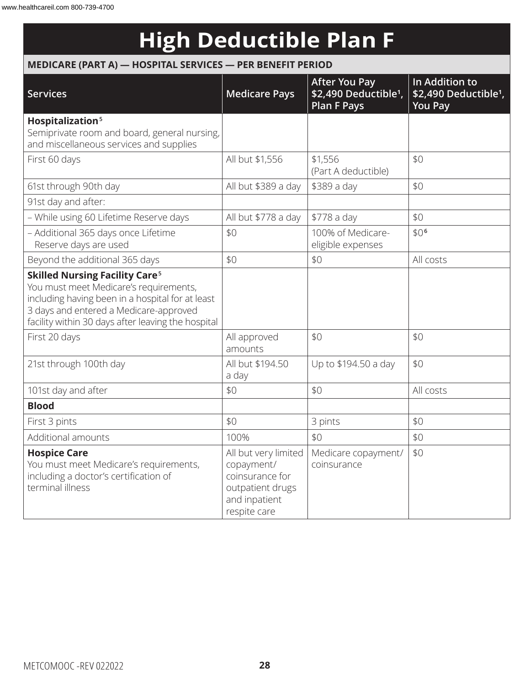### **High Deductible Plan F**

#### **MEDICARE (PART A) — HOSPITAL SERVICES — PER BENEFIT PERIOD**

| <b>Services</b>                                                                                                                                                                                                                                | <b>Medicare Pays</b>                                                                                       | <b>After You Pay</b><br>\$2,490 Deductible <sup>1</sup> ,<br><b>Plan F Pays</b> | In Addition to<br>\$2,490 Deductible <sup>1</sup> ,<br><b>You Pay</b> |
|------------------------------------------------------------------------------------------------------------------------------------------------------------------------------------------------------------------------------------------------|------------------------------------------------------------------------------------------------------------|---------------------------------------------------------------------------------|-----------------------------------------------------------------------|
| Hospitalization <sup>5</sup><br>Semiprivate room and board, general nursing,<br>and miscellaneous services and supplies                                                                                                                        |                                                                                                            |                                                                                 |                                                                       |
| First 60 days                                                                                                                                                                                                                                  | All but \$1,556                                                                                            | \$1,556<br>(Part A deductible)                                                  | \$0                                                                   |
| 61st through 90th day                                                                                                                                                                                                                          | All but \$389 a day                                                                                        | \$389 a day                                                                     | \$0                                                                   |
| 91st day and after:                                                                                                                                                                                                                            |                                                                                                            |                                                                                 |                                                                       |
| - While using 60 Lifetime Reserve days                                                                                                                                                                                                         | All but \$778 a day                                                                                        | \$778 a day                                                                     | \$0                                                                   |
| - Additional 365 days once Lifetime<br>Reserve days are used                                                                                                                                                                                   | \$0                                                                                                        | 100% of Medicare-<br>eligible expenses                                          | \$0 <sup>6</sup>                                                      |
| Beyond the additional 365 days                                                                                                                                                                                                                 | \$0                                                                                                        | \$0                                                                             | All costs                                                             |
| <b>Skilled Nursing Facility Care<sup>5</sup></b><br>You must meet Medicare's requirements,<br>including having been in a hospital for at least<br>3 days and entered a Medicare-approved<br>facility within 30 days after leaving the hospital |                                                                                                            |                                                                                 |                                                                       |
| First 20 days                                                                                                                                                                                                                                  | All approved<br>amounts                                                                                    | \$0                                                                             | \$0                                                                   |
| 21st through 100th day                                                                                                                                                                                                                         | All but \$194.50<br>a day                                                                                  | Up to \$194.50 a day                                                            | \$0                                                                   |
| 101st day and after                                                                                                                                                                                                                            | \$0                                                                                                        | \$0                                                                             | All costs                                                             |
| <b>Blood</b>                                                                                                                                                                                                                                   |                                                                                                            |                                                                                 |                                                                       |
| First 3 pints                                                                                                                                                                                                                                  | \$0                                                                                                        | 3 pints                                                                         | \$0                                                                   |
| Additional amounts                                                                                                                                                                                                                             | 100%                                                                                                       | \$0                                                                             | \$0                                                                   |
| <b>Hospice Care</b><br>You must meet Medicare's requirements,<br>including a doctor's certification of<br>terminal illness                                                                                                                     | All but very limited<br>copayment/<br>coinsurance for<br>outpatient drugs<br>and inpatient<br>respite care | Medicare copayment/<br>coinsurance                                              | \$0                                                                   |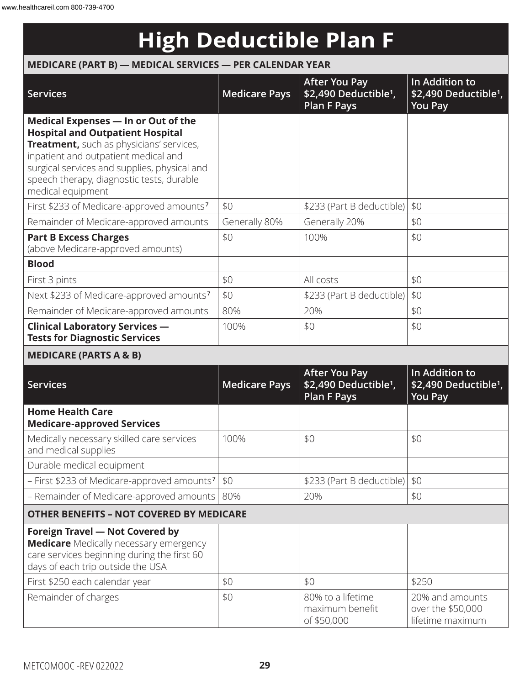## **High Deductible Plan F**

### **MEDICARE (PART B) — MEDICAL SERVICES — PER CALENDAR YEAR**

| <b>Services</b>                                                                                                                                                                                                                                                                      | <b>Medicare Pays</b> | <b>After You Pay</b><br>\$2,490 Deductible <sup>1</sup> ,<br><b>Plan F Pays</b> | In Addition to<br>\$2,490 Deductible <sup>1</sup> ,<br><b>You Pay</b> |
|--------------------------------------------------------------------------------------------------------------------------------------------------------------------------------------------------------------------------------------------------------------------------------------|----------------------|---------------------------------------------------------------------------------|-----------------------------------------------------------------------|
| Medical Expenses - In or Out of the<br><b>Hospital and Outpatient Hospital</b><br>Treatment, such as physicians' services,<br>inpatient and outpatient medical and<br>surgical services and supplies, physical and<br>speech therapy, diagnostic tests, durable<br>medical equipment |                      |                                                                                 |                                                                       |
| First \$233 of Medicare-approved amounts <sup>7</sup>                                                                                                                                                                                                                                | \$0                  | \$233 (Part B deductible)                                                       | \$0                                                                   |
| Remainder of Medicare-approved amounts                                                                                                                                                                                                                                               | Generally 80%        | Generally 20%                                                                   | \$0                                                                   |
| <b>Part B Excess Charges</b><br>(above Medicare-approved amounts)                                                                                                                                                                                                                    | \$0                  | 100%                                                                            | \$0                                                                   |
| <b>Blood</b>                                                                                                                                                                                                                                                                         |                      |                                                                                 |                                                                       |
| First 3 pints                                                                                                                                                                                                                                                                        | \$0                  | All costs                                                                       | \$0                                                                   |
| Next \$233 of Medicare-approved amounts <sup>7</sup>                                                                                                                                                                                                                                 | \$0                  | \$233 (Part B deductible)                                                       | \$0                                                                   |
| Remainder of Medicare-approved amounts                                                                                                                                                                                                                                               | 80%                  | 20%                                                                             | \$0                                                                   |
| <b>Clinical Laboratory Services -</b><br><b>Tests for Diagnostic Services</b>                                                                                                                                                                                                        | 100%                 | \$0                                                                             | \$0                                                                   |
| <b>MEDICARE (PARTS A &amp; B)</b>                                                                                                                                                                                                                                                    |                      |                                                                                 |                                                                       |
| <b>Services</b>                                                                                                                                                                                                                                                                      | <b>Medicare Pays</b> | <b>After You Pay</b><br>\$2,490 Deductible <sup>1</sup> ,<br><b>Plan F Pays</b> | In Addition to<br>\$2,490 Deductible <sup>1</sup> ,<br><b>You Pay</b> |
| <b>Home Health Care</b><br><b>Medicare-approved Services</b>                                                                                                                                                                                                                         |                      |                                                                                 |                                                                       |
| Medically necessary skilled care services<br>and medical supplies                                                                                                                                                                                                                    | 100%                 | \$0                                                                             | \$0                                                                   |
| Durable medical equipment                                                                                                                                                                                                                                                            |                      |                                                                                 |                                                                       |
| - First \$233 of Medicare-approved amounts <sup>7</sup>                                                                                                                                                                                                                              | \$0                  | \$233 (Part B deductible)                                                       | \$0                                                                   |
| - Remainder of Medicare-approved amounts                                                                                                                                                                                                                                             | 80%                  | 20%                                                                             | \$0                                                                   |
| <b>OTHER BENEFITS - NOT COVERED BY MEDICARE</b>                                                                                                                                                                                                                                      |                      |                                                                                 |                                                                       |
| <b>Foreign Travel - Not Covered by</b><br><b>Medicare</b> Medically necessary emergency<br>care services beginning during the first 60<br>days of each trip outside the USA                                                                                                          |                      |                                                                                 |                                                                       |
| First \$250 each calendar year                                                                                                                                                                                                                                                       | \$0                  | \$0                                                                             | \$250                                                                 |
| Remainder of charges                                                                                                                                                                                                                                                                 | \$0                  | 80% to a lifetime<br>maximum benefit<br>of \$50,000                             | 20% and amounts<br>over the \$50,000<br>lifetime maximum              |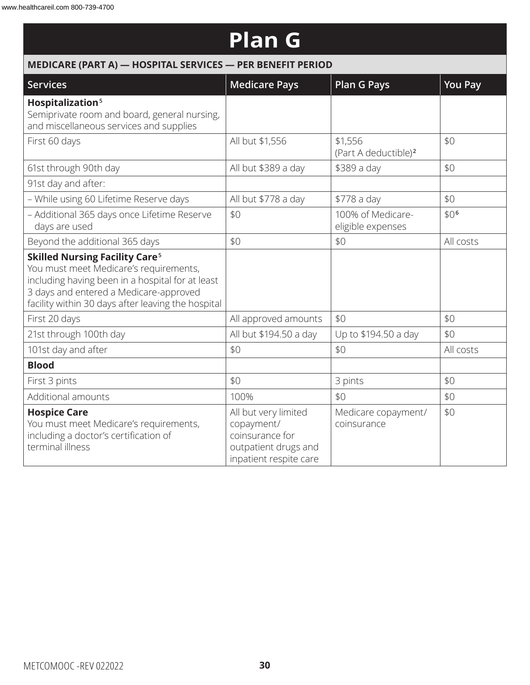### **Plan G**

| MEDICARE (PART A) - HOSPITAL SERVICES - PER BENEFIT PERIOD                                                                                                                                                                                     |                                                                                                         |                                             |                  |  |  |
|------------------------------------------------------------------------------------------------------------------------------------------------------------------------------------------------------------------------------------------------|---------------------------------------------------------------------------------------------------------|---------------------------------------------|------------------|--|--|
| <b>Services</b>                                                                                                                                                                                                                                | <b>Medicare Pays</b>                                                                                    | <b>Plan G Pays</b>                          | <b>You Pay</b>   |  |  |
| Hospitalization <sup>5</sup><br>Semiprivate room and board, general nursing,<br>and miscellaneous services and supplies                                                                                                                        |                                                                                                         |                                             |                  |  |  |
| First 60 days                                                                                                                                                                                                                                  | All but \$1,556                                                                                         | \$1,556<br>(Part A deductible) <sup>2</sup> | \$0              |  |  |
| 61st through 90th day                                                                                                                                                                                                                          | All but \$389 a day                                                                                     | \$389 a day                                 | \$0              |  |  |
| 91st day and after:                                                                                                                                                                                                                            |                                                                                                         |                                             |                  |  |  |
| - While using 60 Lifetime Reserve days                                                                                                                                                                                                         | All but \$778 a day                                                                                     | \$778 a day                                 | \$0              |  |  |
| - Additional 365 days once Lifetime Reserve<br>days are used                                                                                                                                                                                   | \$0                                                                                                     | 100% of Medicare-<br>eligible expenses      | \$0 <sup>6</sup> |  |  |
| Beyond the additional 365 days                                                                                                                                                                                                                 | \$0                                                                                                     | \$0                                         | All costs        |  |  |
| <b>Skilled Nursing Facility Care<sup>5</sup></b><br>You must meet Medicare's requirements,<br>including having been in a hospital for at least<br>3 days and entered a Medicare-approved<br>facility within 30 days after leaving the hospital |                                                                                                         |                                             |                  |  |  |
| First 20 days                                                                                                                                                                                                                                  | All approved amounts                                                                                    | \$0                                         | \$0              |  |  |
| 21st through 100th day                                                                                                                                                                                                                         | All but \$194.50 a day                                                                                  | Up to \$194.50 a day                        | \$0              |  |  |
| 101st day and after                                                                                                                                                                                                                            | \$0                                                                                                     | \$0                                         | All costs        |  |  |
| <b>Blood</b>                                                                                                                                                                                                                                   |                                                                                                         |                                             |                  |  |  |
| First 3 pints                                                                                                                                                                                                                                  | \$0                                                                                                     | 3 pints                                     | \$0              |  |  |
| Additional amounts                                                                                                                                                                                                                             | 100%                                                                                                    | \$0                                         | \$0              |  |  |
| <b>Hospice Care</b><br>You must meet Medicare's requirements,<br>including a doctor's certification of<br>terminal illness                                                                                                                     | All but very limited<br>copayment/<br>coinsurance for<br>outpatient drugs and<br>inpatient respite care | Medicare copayment/<br>coinsurance          | \$0              |  |  |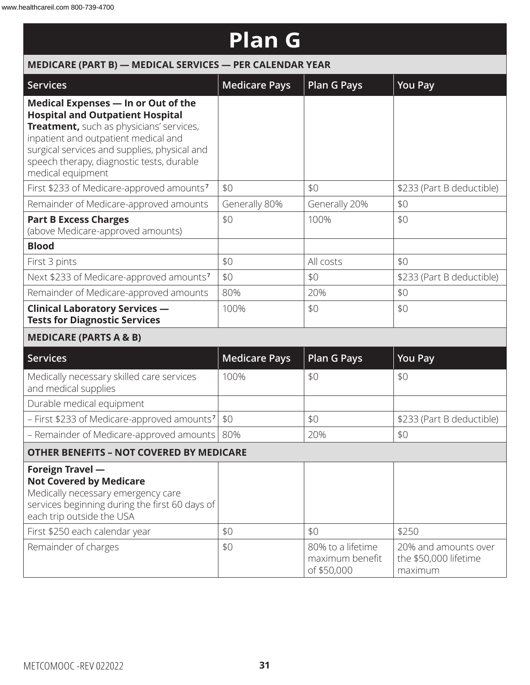| <b>Plan G</b>                                                                                                                                                                                                                                                                        |                      |                                                     |                                                          |  |
|--------------------------------------------------------------------------------------------------------------------------------------------------------------------------------------------------------------------------------------------------------------------------------------|----------------------|-----------------------------------------------------|----------------------------------------------------------|--|
| MEDICARE (PART B) - MEDICAL SERVICES - PER CALENDAR YEAR                                                                                                                                                                                                                             |                      |                                                     |                                                          |  |
| <b>Services</b>                                                                                                                                                                                                                                                                      | <b>Medicare Pays</b> | <b>Plan G Pays</b>                                  | <b>You Pay</b>                                           |  |
| Medical Expenses - In or Out of the<br><b>Hospital and Outpatient Hospital</b><br>Treatment, such as physicians' services,<br>inpatient and outpatient medical and<br>surgical services and supplies, physical and<br>speech therapy, diagnostic tests, durable<br>medical equipment |                      |                                                     |                                                          |  |
| First \$233 of Medicare-approved amounts <sup>7</sup>                                                                                                                                                                                                                                | \$0                  | \$0                                                 | \$233 (Part B deductible)                                |  |
| Remainder of Medicare-approved amounts                                                                                                                                                                                                                                               | Generally 80%        | Generally 20%                                       | \$0                                                      |  |
| <b>Part B Excess Charges</b><br>(above Medicare-approved amounts)                                                                                                                                                                                                                    | \$0                  | 100%                                                | \$0                                                      |  |
| <b>Blood</b>                                                                                                                                                                                                                                                                         |                      |                                                     |                                                          |  |
| First 3 pints                                                                                                                                                                                                                                                                        | \$0                  | All costs                                           | \$0                                                      |  |
| Next \$233 of Medicare-approved amounts <sup>7</sup>                                                                                                                                                                                                                                 | \$0                  | \$0                                                 | \$233 (Part B deductible)                                |  |
| Remainder of Medicare-approved amounts                                                                                                                                                                                                                                               | 80%                  | 20%                                                 | \$0                                                      |  |
| <b>Clinical Laboratory Services -</b><br><b>Tests for Diagnostic Services</b>                                                                                                                                                                                                        | 100%                 | \$0                                                 | \$0                                                      |  |
| <b>MEDICARE (PARTS A &amp; B)</b>                                                                                                                                                                                                                                                    |                      |                                                     |                                                          |  |
| <b>Services</b>                                                                                                                                                                                                                                                                      | <b>Medicare Pays</b> | <b>Plan G Pays</b>                                  | <b>You Pay</b>                                           |  |
| Medically necessary skilled care services<br>and medical supplies                                                                                                                                                                                                                    | 100%                 | \$0                                                 | \$0                                                      |  |
| Durable medical equipment                                                                                                                                                                                                                                                            |                      |                                                     |                                                          |  |
| - First \$233 of Medicare-approved amounts <sup>7</sup>                                                                                                                                                                                                                              | \$0                  | \$0                                                 | \$233 (Part B deductible)                                |  |
| - Remainder of Medicare-approved amounts                                                                                                                                                                                                                                             | 80%                  | 20%                                                 | \$0                                                      |  |
| <b>OTHER BENEFITS - NOT COVERED BY MEDICARE</b>                                                                                                                                                                                                                                      |                      |                                                     |                                                          |  |
| Foreign Travel -<br><b>Not Covered by Medicare</b><br>Medically necessary emergency care<br>services beginning during the first 60 days of<br>each trip outside the USA                                                                                                              |                      |                                                     |                                                          |  |
| First \$250 each calendar year                                                                                                                                                                                                                                                       | \$0                  | \$0                                                 | \$250                                                    |  |
| Remainder of charges                                                                                                                                                                                                                                                                 | \$0                  | 80% to a lifetime<br>maximum benefit<br>of \$50,000 | 20% and amounts over<br>the \$50,000 lifetime<br>maximum |  |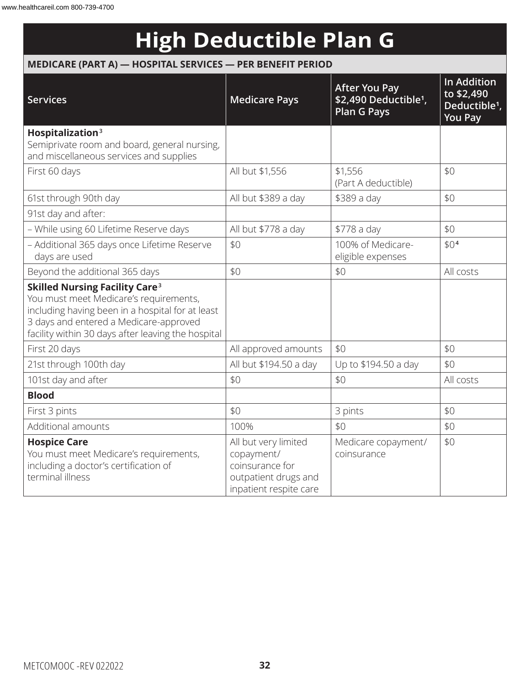## **High Deductible Plan G**

### **MEDICARE (PART A) — HOSPITAL SERVICES — PER BENEFIT PERIOD**

| <b>Services</b>                                                                                                                                                                                                                                | <b>Medicare Pays</b>                                                                                    | <b>After You Pay</b><br>\$2,490 Deductible <sup>1</sup> ,<br><b>Plan G Pays</b> | <b>In Addition</b><br>to \$2,490<br>Deductible <sup>1</sup> ,<br><b>You Pay</b> |
|------------------------------------------------------------------------------------------------------------------------------------------------------------------------------------------------------------------------------------------------|---------------------------------------------------------------------------------------------------------|---------------------------------------------------------------------------------|---------------------------------------------------------------------------------|
| Hospitalization <sup>3</sup>                                                                                                                                                                                                                   |                                                                                                         |                                                                                 |                                                                                 |
| Semiprivate room and board, general nursing,<br>and miscellaneous services and supplies                                                                                                                                                        |                                                                                                         |                                                                                 |                                                                                 |
| First 60 days                                                                                                                                                                                                                                  | All but \$1,556                                                                                         | \$1,556<br>(Part A deductible)                                                  | \$0                                                                             |
| 61st through 90th day                                                                                                                                                                                                                          | All but \$389 a day                                                                                     | \$389 a day                                                                     | \$0                                                                             |
| 91st day and after:                                                                                                                                                                                                                            |                                                                                                         |                                                                                 |                                                                                 |
| - While using 60 Lifetime Reserve days                                                                                                                                                                                                         | All but \$778 a day                                                                                     | \$778 a day                                                                     | \$0                                                                             |
| - Additional 365 days once Lifetime Reserve<br>days are used                                                                                                                                                                                   | \$0                                                                                                     | 100% of Medicare-<br>eligible expenses                                          | \$0 <sup>4</sup>                                                                |
| Beyond the additional 365 days                                                                                                                                                                                                                 | \$0                                                                                                     | \$0                                                                             | All costs                                                                       |
| <b>Skilled Nursing Facility Care<sup>3</sup></b><br>You must meet Medicare's requirements,<br>including having been in a hospital for at least<br>3 days and entered a Medicare-approved<br>facility within 30 days after leaving the hospital |                                                                                                         |                                                                                 |                                                                                 |
| First 20 days                                                                                                                                                                                                                                  | All approved amounts                                                                                    | \$0                                                                             | \$0                                                                             |
| 21st through 100th day                                                                                                                                                                                                                         | All but \$194.50 a day                                                                                  | Up to \$194.50 a day                                                            | \$0                                                                             |
| 101st day and after                                                                                                                                                                                                                            | \$0                                                                                                     | \$0                                                                             | All costs                                                                       |
| <b>Blood</b>                                                                                                                                                                                                                                   |                                                                                                         |                                                                                 |                                                                                 |
| First 3 pints                                                                                                                                                                                                                                  | \$0                                                                                                     | 3 pints                                                                         | \$0                                                                             |
| Additional amounts                                                                                                                                                                                                                             | 100%                                                                                                    | \$0                                                                             | \$0                                                                             |
| <b>Hospice Care</b><br>You must meet Medicare's requirements,<br>including a doctor's certification of<br>terminal illness                                                                                                                     | All but very limited<br>copayment/<br>coinsurance for<br>outpatient drugs and<br>inpatient respite care | Medicare copayment/<br>coinsurance                                              | \$0                                                                             |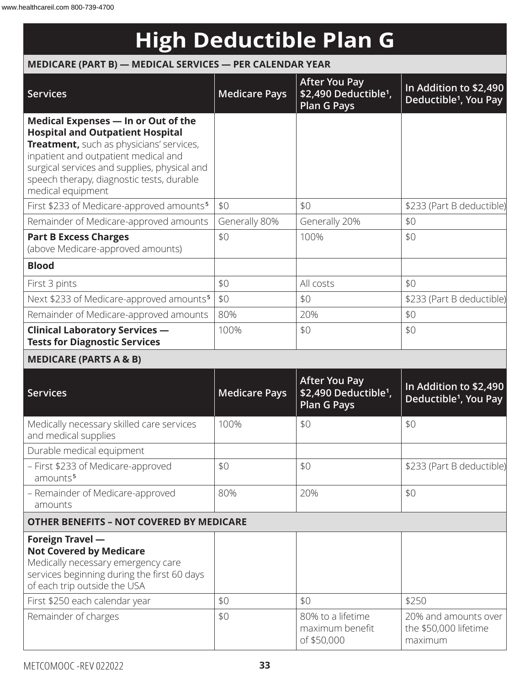# **High Deductible Plan G**

#### **MEDICARE (PART B) — MEDICAL SERVICES — PER CALENDAR YEAR**

| <b>Services</b>                                                                                                                                                                                                                                                                      | <b>Medicare Pays</b> | <b>After You Pay</b><br>\$2,490 Deductible <sup>1</sup> ,<br>Plan G Pays        | In Addition to \$2,490<br>Deductible <sup>1</sup> , You Pay |
|--------------------------------------------------------------------------------------------------------------------------------------------------------------------------------------------------------------------------------------------------------------------------------------|----------------------|---------------------------------------------------------------------------------|-------------------------------------------------------------|
| Medical Expenses - In or Out of the<br><b>Hospital and Outpatient Hospital</b><br>Treatment, such as physicians' services,<br>inpatient and outpatient medical and<br>surgical services and supplies, physical and<br>speech therapy, diagnostic tests, durable<br>medical equipment |                      |                                                                                 |                                                             |
| First \$233 of Medicare-approved amounts <sup>5</sup>                                                                                                                                                                                                                                | \$0                  | \$0                                                                             | \$233 (Part B deductible)                                   |
| Remainder of Medicare-approved amounts                                                                                                                                                                                                                                               | Generally 80%        | Generally 20%                                                                   | \$0                                                         |
| <b>Part B Excess Charges</b><br>(above Medicare-approved amounts)                                                                                                                                                                                                                    | \$0                  | 100%                                                                            | \$0                                                         |
| <b>Blood</b>                                                                                                                                                                                                                                                                         |                      |                                                                                 |                                                             |
| First 3 pints                                                                                                                                                                                                                                                                        | \$0                  | All costs                                                                       | \$0                                                         |
| Next \$233 of Medicare-approved amounts <sup>5</sup>                                                                                                                                                                                                                                 | \$0                  | \$0                                                                             | \$233 (Part B deductible)                                   |
| Remainder of Medicare-approved amounts                                                                                                                                                                                                                                               | 80%                  | 20%                                                                             | \$0                                                         |
| <b>Clinical Laboratory Services -</b><br><b>Tests for Diagnostic Services</b>                                                                                                                                                                                                        | 100%                 | \$0                                                                             | \$0                                                         |
| <b>MEDICARE (PARTS A &amp; B)</b>                                                                                                                                                                                                                                                    |                      |                                                                                 |                                                             |
| <b>Services</b>                                                                                                                                                                                                                                                                      | <b>Medicare Pays</b> | <b>After You Pay</b><br>\$2,490 Deductible <sup>1</sup> ,<br><b>Plan G Pays</b> | In Addition to \$2,490<br>Deductible <sup>1</sup> , You Pay |
| Medically necessary skilled care services<br>and medical supplies                                                                                                                                                                                                                    | 100%                 | \$0                                                                             | \$0                                                         |
| Durable medical equipment                                                                                                                                                                                                                                                            |                      |                                                                                 |                                                             |
| - First \$233 of Medicare-approved<br>amounts <sup>5</sup>                                                                                                                                                                                                                           | \$0                  | \$0                                                                             | \$233 (Part B deductible)                                   |
| - Remainder of Medicare-approved<br>amounts                                                                                                                                                                                                                                          | 80%                  | 20%                                                                             | \$0                                                         |
| <b>OTHER BENEFITS - NOT COVERED BY MEDICARE</b>                                                                                                                                                                                                                                      |                      |                                                                                 |                                                             |
| Foreign Travel -<br><b>Not Covered by Medicare</b><br>Medically necessary emergency care<br>services beginning during the first 60 days<br>of each trip outside the USA                                                                                                              |                      |                                                                                 |                                                             |
| First \$250 each calendar year                                                                                                                                                                                                                                                       | \$0                  | \$0                                                                             | \$250                                                       |
| Remainder of charges                                                                                                                                                                                                                                                                 | \$0                  | 80% to a lifetime<br>maximum benefit<br>of \$50,000                             | 20% and amounts over<br>the \$50,000 lifetime<br>maximum    |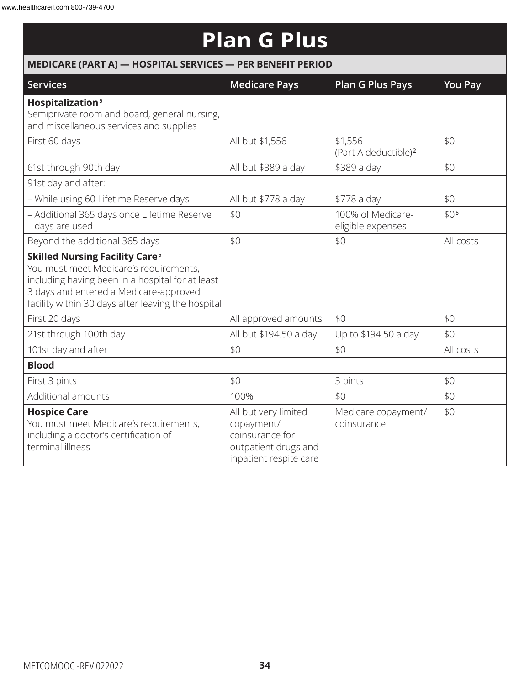# **Plan G Plus**

| MEDICARE (PART A) - HOSPITAL SERVICES - PER BENEFIT PERIOD                                                                                                                                                                                     |                                                                                                         |                                             |                  |  |  |
|------------------------------------------------------------------------------------------------------------------------------------------------------------------------------------------------------------------------------------------------|---------------------------------------------------------------------------------------------------------|---------------------------------------------|------------------|--|--|
| <b>Services</b>                                                                                                                                                                                                                                | <b>Medicare Pays</b>                                                                                    | <b>Plan G Plus Pays</b>                     | <b>You Pay</b>   |  |  |
| Hospitalization <sup>5</sup><br>Semiprivate room and board, general nursing,<br>and miscellaneous services and supplies                                                                                                                        |                                                                                                         |                                             |                  |  |  |
| First 60 days                                                                                                                                                                                                                                  | All but \$1,556                                                                                         | \$1,556<br>(Part A deductible) <sup>2</sup> | \$0              |  |  |
| 61st through 90th day                                                                                                                                                                                                                          | All but \$389 a day                                                                                     | \$389 a day                                 | \$0              |  |  |
| 91st day and after:                                                                                                                                                                                                                            |                                                                                                         |                                             |                  |  |  |
| - While using 60 Lifetime Reserve days                                                                                                                                                                                                         | All but \$778 a day                                                                                     | \$778 a day                                 | \$0              |  |  |
| - Additional 365 days once Lifetime Reserve<br>days are used                                                                                                                                                                                   | \$0                                                                                                     | 100% of Medicare-<br>eligible expenses      | \$0 <sup>6</sup> |  |  |
| Beyond the additional 365 days                                                                                                                                                                                                                 | \$0                                                                                                     | \$0                                         | All costs        |  |  |
| <b>Skilled Nursing Facility Care<sup>5</sup></b><br>You must meet Medicare's requirements,<br>including having been in a hospital for at least<br>3 days and entered a Medicare-approved<br>facility within 30 days after leaving the hospital |                                                                                                         |                                             |                  |  |  |
| First 20 days                                                                                                                                                                                                                                  | All approved amounts                                                                                    | \$0                                         | \$0              |  |  |
| 21st through 100th day                                                                                                                                                                                                                         | All but \$194.50 a day                                                                                  | Up to \$194.50 a day                        | \$0              |  |  |
| 101st day and after                                                                                                                                                                                                                            | \$0                                                                                                     | \$0                                         | All costs        |  |  |
| <b>Blood</b>                                                                                                                                                                                                                                   |                                                                                                         |                                             |                  |  |  |
| First 3 pints                                                                                                                                                                                                                                  | \$0                                                                                                     | 3 pints                                     | \$0              |  |  |
| Additional amounts                                                                                                                                                                                                                             | 100%                                                                                                    | \$0                                         | \$0              |  |  |
| <b>Hospice Care</b><br>You must meet Medicare's requirements,<br>including a doctor's certification of<br>terminal illness                                                                                                                     | All but very limited<br>copayment/<br>coinsurance for<br>outpatient drugs and<br>inpatient respite care | Medicare copayment/<br>coinsurance          | \$0              |  |  |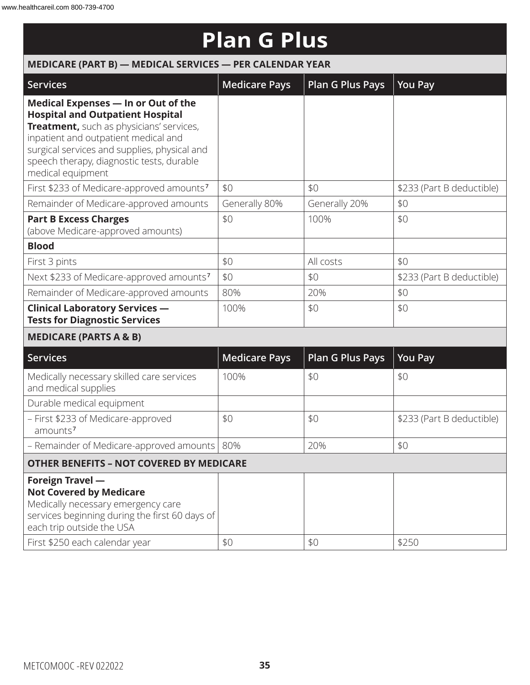| MEDICARE (PART B) - MEDICAL SERVICES - PER CALENDAR YEAR                                                                                                                                                                                                                             |                      |                         |                           |  |
|--------------------------------------------------------------------------------------------------------------------------------------------------------------------------------------------------------------------------------------------------------------------------------------|----------------------|-------------------------|---------------------------|--|
| <b>Services</b>                                                                                                                                                                                                                                                                      | <b>Medicare Pays</b> | <b>Plan G Plus Pays</b> | <b>You Pay</b>            |  |
| Medical Expenses - In or Out of the<br><b>Hospital and Outpatient Hospital</b><br>Treatment, such as physicians' services,<br>inpatient and outpatient medical and<br>surgical services and supplies, physical and<br>speech therapy, diagnostic tests, durable<br>medical equipment |                      |                         |                           |  |
| First \$233 of Medicare-approved amounts <sup>7</sup>                                                                                                                                                                                                                                | \$0                  | \$0                     | \$233 (Part B deductible) |  |
| Remainder of Medicare-approved amounts                                                                                                                                                                                                                                               | Generally 80%        | Generally 20%           | \$0                       |  |
| <b>Part B Excess Charges</b><br>(above Medicare-approved amounts)                                                                                                                                                                                                                    | \$0                  | 100%                    | \$0                       |  |
| <b>Blood</b>                                                                                                                                                                                                                                                                         |                      |                         |                           |  |
| First 3 pints                                                                                                                                                                                                                                                                        | \$0                  | All costs               | \$0                       |  |
| Next \$233 of Medicare-approved amounts <sup>7</sup>                                                                                                                                                                                                                                 | \$0                  | \$0                     | \$233 (Part B deductible) |  |
| Remainder of Medicare-approved amounts                                                                                                                                                                                                                                               | 80%                  | 20%                     | \$0                       |  |
| <b>Clinical Laboratory Services -</b><br><b>Tests for Diagnostic Services</b>                                                                                                                                                                                                        | 100%                 | \$0                     | \$0                       |  |
| <b>MEDICARE (PARTS A &amp; B)</b>                                                                                                                                                                                                                                                    |                      |                         |                           |  |
| <b>Services</b>                                                                                                                                                                                                                                                                      | <b>Medicare Pays</b> | <b>Plan G Plus Pays</b> | <b>You Pay</b>            |  |
| Medically necessary skilled care services<br>and medical supplies                                                                                                                                                                                                                    | 100%                 | \$0                     | \$0                       |  |
| Durable medical equipment                                                                                                                                                                                                                                                            |                      |                         |                           |  |
| - First \$233 of Medicare-approved<br>amounts <sup>7</sup>                                                                                                                                                                                                                           | \$0                  | \$0                     | \$233 (Part B deductible) |  |
| - Remainder of Medicare-approved amounts                                                                                                                                                                                                                                             | 80%                  | 20%                     | \$0                       |  |
| <b>OTHER BENEFITS - NOT COVERED BY MEDICARE</b>                                                                                                                                                                                                                                      |                      |                         |                           |  |
| Foreign Travel -<br><b>Not Covered by Medicare</b><br>Medically necessary emergency care<br>services beginning during the first 60 days of<br>each trip outside the USA<br>First \$250 each calendar year                                                                            | \$0                  | \$0                     | \$250                     |  |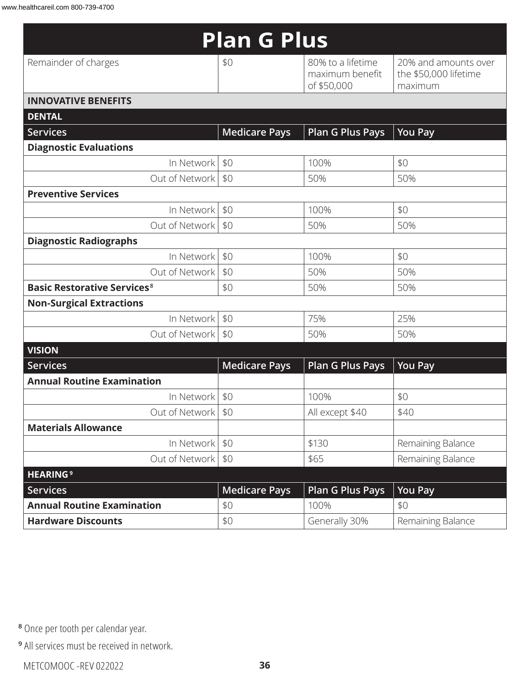| <b>Plan G Plus</b>                            |                      |                                                     |                                                          |  |
|-----------------------------------------------|----------------------|-----------------------------------------------------|----------------------------------------------------------|--|
| Remainder of charges                          | \$0                  | 80% to a lifetime<br>maximum benefit<br>of \$50,000 | 20% and amounts over<br>the \$50,000 lifetime<br>maximum |  |
| <b>INNOVATIVE BENEFITS</b>                    |                      |                                                     |                                                          |  |
| <b>DENTAL</b>                                 |                      |                                                     |                                                          |  |
| <b>Services</b>                               | <b>Medicare Pays</b> | <b>Plan G Plus Pays</b>                             | <b>You Pay</b>                                           |  |
| <b>Diagnostic Evaluations</b>                 |                      |                                                     |                                                          |  |
| In Network                                    | \$0                  | 100%                                                | \$0                                                      |  |
| Out of Network                                | \$0                  | 50%                                                 | 50%                                                      |  |
| <b>Preventive Services</b>                    |                      |                                                     |                                                          |  |
| In Network                                    | \$0                  | 100%                                                | \$0                                                      |  |
| Out of Network                                | \$0                  | 50%                                                 | 50%                                                      |  |
| <b>Diagnostic Radiographs</b>                 |                      |                                                     |                                                          |  |
| In Network                                    | \$0                  | 100%                                                | \$0                                                      |  |
| Out of Network                                | \$0                  | 50%                                                 | 50%                                                      |  |
| <b>Basic Restorative Services<sup>8</sup></b> | \$0                  | 50%                                                 | 50%                                                      |  |
| <b>Non-Surgical Extractions</b>               |                      |                                                     |                                                          |  |
| In Network                                    | \$0                  | 75%                                                 | 25%                                                      |  |
| Out of Network                                | \$0                  | 50%                                                 | 50%                                                      |  |
| <b>VISION</b>                                 |                      |                                                     |                                                          |  |
| <b>Services</b>                               | <b>Medicare Pays</b> | <b>Plan G Plus Pays</b>                             | <b>You Pay</b>                                           |  |
| <b>Annual Routine Examination</b>             |                      |                                                     |                                                          |  |
| In Network                                    | \$0                  | 100%                                                | \$0                                                      |  |
| Out of Network   \$0                          |                      | All except \$40                                     | \$40                                                     |  |
| <b>Materials Allowance</b>                    |                      |                                                     |                                                          |  |
| In Network                                    | \$0                  | \$130                                               | Remaining Balance                                        |  |
| Out of Network                                | \$0                  | \$65                                                | Remaining Balance                                        |  |
| <b>HEARING</b> <sup>9</sup>                   |                      |                                                     |                                                          |  |
| <b>Services</b>                               | <b>Medicare Pays</b> | <b>Plan G Plus Pays</b>                             | <b>You Pay</b>                                           |  |
| <b>Annual Routine Examination</b>             | \$0                  | 100%                                                | \$0                                                      |  |
| <b>Hardware Discounts</b>                     | \$0                  | Generally 30%                                       | Remaining Balance                                        |  |

**<sup>8</sup>** Once per tooth per calendar year.

**<sup>9</sup>** All services must be received in network.

METCOMOOC -REV 022022 **36**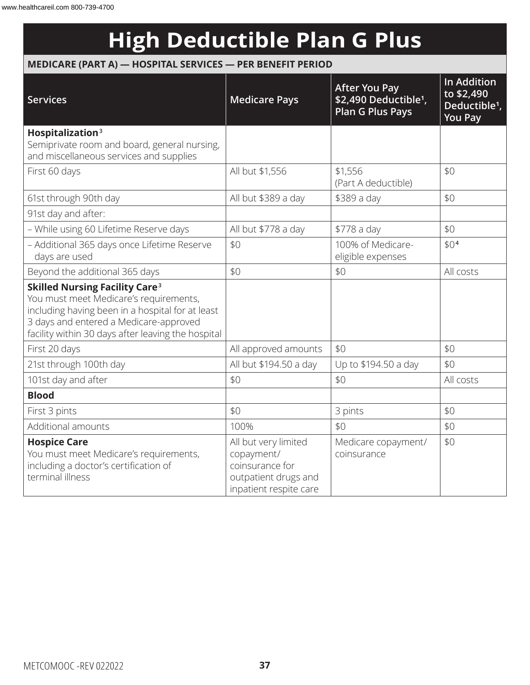## **High Deductible Plan G Plus**

### **MEDICARE (PART A) — HOSPITAL SERVICES — PER BENEFIT PERIOD**

| <b>Services</b>                                                                                                                                                                                                                                | <b>Medicare Pays</b>                                                                                    | <b>After You Pay</b><br>\$2,490 Deductible <sup>1</sup> ,<br><b>Plan G Plus Pays</b> | <b>In Addition</b><br>to \$2,490<br>Deductible <sup>1</sup> ,<br><b>You Pay</b> |
|------------------------------------------------------------------------------------------------------------------------------------------------------------------------------------------------------------------------------------------------|---------------------------------------------------------------------------------------------------------|--------------------------------------------------------------------------------------|---------------------------------------------------------------------------------|
| Hospitalization <sup>3</sup><br>Semiprivate room and board, general nursing,<br>and miscellaneous services and supplies                                                                                                                        |                                                                                                         |                                                                                      |                                                                                 |
| First 60 days                                                                                                                                                                                                                                  | All but \$1,556                                                                                         | \$1,556<br>(Part A deductible)                                                       | \$0                                                                             |
| 61st through 90th day                                                                                                                                                                                                                          | All but \$389 a day                                                                                     | \$389 a day                                                                          | \$0                                                                             |
| 91st day and after:                                                                                                                                                                                                                            |                                                                                                         |                                                                                      |                                                                                 |
| - While using 60 Lifetime Reserve days                                                                                                                                                                                                         | All but \$778 a day                                                                                     | \$778 a day                                                                          | \$0                                                                             |
| - Additional 365 days once Lifetime Reserve<br>days are used                                                                                                                                                                                   | \$0                                                                                                     | 100% of Medicare-<br>eligible expenses                                               | \$0 <sup>4</sup>                                                                |
| Beyond the additional 365 days                                                                                                                                                                                                                 | \$0                                                                                                     | \$0                                                                                  | All costs                                                                       |
| <b>Skilled Nursing Facility Care<sup>3</sup></b><br>You must meet Medicare's requirements,<br>including having been in a hospital for at least<br>3 days and entered a Medicare-approved<br>facility within 30 days after leaving the hospital |                                                                                                         |                                                                                      |                                                                                 |
| First 20 days                                                                                                                                                                                                                                  | All approved amounts                                                                                    | \$0                                                                                  | \$0                                                                             |
| 21st through 100th day                                                                                                                                                                                                                         | All but \$194.50 a day                                                                                  | Up to \$194.50 a day                                                                 | \$0                                                                             |
| 101st day and after                                                                                                                                                                                                                            | \$0                                                                                                     | \$0                                                                                  | All costs                                                                       |
| <b>Blood</b>                                                                                                                                                                                                                                   |                                                                                                         |                                                                                      |                                                                                 |
| First 3 pints                                                                                                                                                                                                                                  | \$0                                                                                                     | 3 pints                                                                              | \$0                                                                             |
| Additional amounts                                                                                                                                                                                                                             | 100%                                                                                                    | \$0                                                                                  | \$0                                                                             |
| <b>Hospice Care</b><br>You must meet Medicare's requirements,<br>including a doctor's certification of<br>terminal illness                                                                                                                     | All but very limited<br>copayment/<br>coinsurance for<br>outpatient drugs and<br>inpatient respite care | Medicare copayment/<br>coinsurance                                                   | \$0                                                                             |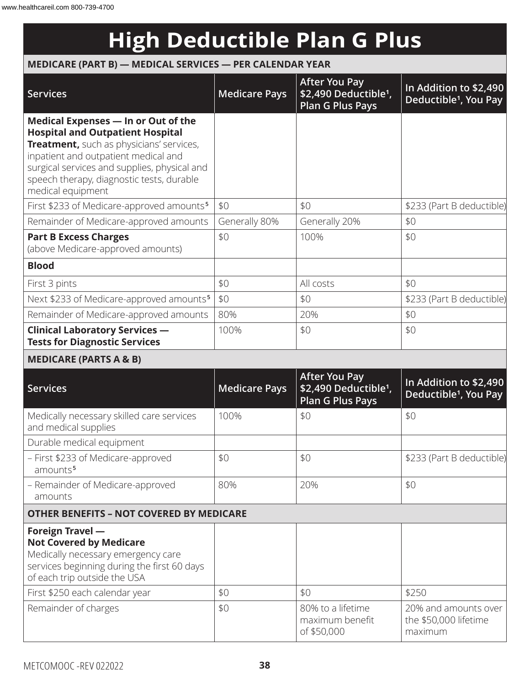## **High Deductible Plan G Plus**

### **MEDICARE (PART B) — MEDICAL SERVICES — PER CALENDAR YEAR**

| <b>Services</b>                                                                                                                                                                                                                                                                      | <b>Medicare Pays</b> | <b>After You Pay</b><br>\$2,490 Deductible <sup>1</sup> ,<br><b>Plan G Plus Pays</b> | In Addition to \$2,490<br>Deductible <sup>1</sup> , You Pay |
|--------------------------------------------------------------------------------------------------------------------------------------------------------------------------------------------------------------------------------------------------------------------------------------|----------------------|--------------------------------------------------------------------------------------|-------------------------------------------------------------|
| Medical Expenses - In or Out of the<br><b>Hospital and Outpatient Hospital</b><br>Treatment, such as physicians' services,<br>inpatient and outpatient medical and<br>surgical services and supplies, physical and<br>speech therapy, diagnostic tests, durable<br>medical equipment |                      |                                                                                      |                                                             |
| First \$233 of Medicare-approved amounts <sup>5</sup>                                                                                                                                                                                                                                | \$0                  | \$0                                                                                  | \$233 (Part B deductible)                                   |
| Remainder of Medicare-approved amounts                                                                                                                                                                                                                                               | Generally 80%        | Generally 20%                                                                        | \$0                                                         |
| <b>Part B Excess Charges</b><br>(above Medicare-approved amounts)                                                                                                                                                                                                                    | \$0                  | 100%                                                                                 | \$0                                                         |
| <b>Blood</b>                                                                                                                                                                                                                                                                         |                      |                                                                                      |                                                             |
| First 3 pints                                                                                                                                                                                                                                                                        | \$0                  | All costs                                                                            | \$0                                                         |
| Next \$233 of Medicare-approved amounts <sup>5</sup>                                                                                                                                                                                                                                 | \$0                  | \$0                                                                                  | \$233 (Part B deductible)                                   |
| Remainder of Medicare-approved amounts                                                                                                                                                                                                                                               | 80%                  | 20%                                                                                  | \$0                                                         |
| <b>Clinical Laboratory Services -</b><br><b>Tests for Diagnostic Services</b>                                                                                                                                                                                                        | 100%                 | \$0                                                                                  | \$0                                                         |
| <b>MEDICARE (PARTS A &amp; B)</b>                                                                                                                                                                                                                                                    |                      |                                                                                      |                                                             |
| <b>Services</b>                                                                                                                                                                                                                                                                      | <b>Medicare Pays</b> | <b>After You Pay</b><br>\$2,490 Deductible <sup>1</sup> ,<br>Plan G Plus Pays        | In Addition to \$2,490<br>Deductible <sup>1</sup> , You Pay |
| Medically necessary skilled care services<br>and medical supplies                                                                                                                                                                                                                    | 100%                 | \$0                                                                                  | \$0                                                         |
| Durable medical equipment                                                                                                                                                                                                                                                            |                      |                                                                                      |                                                             |

| - First \$233 of Medicare-approved<br>amounts <sup>5</sup>                                                                                                              | \$0 | \$0                                                 | \$233 (Part B deductible)                                |
|-------------------------------------------------------------------------------------------------------------------------------------------------------------------------|-----|-----------------------------------------------------|----------------------------------------------------------|
| - Remainder of Medicare-approved<br>amounts                                                                                                                             | 80% | 20%                                                 | \$0                                                      |
| <b>OTHER BENEFITS - NOT COVERED BY MEDICARE</b>                                                                                                                         |     |                                                     |                                                          |
| Foreign Travel -<br><b>Not Covered by Medicare</b><br>Medically necessary emergency care<br>services beginning during the first 60 days<br>of each trip outside the USA |     |                                                     |                                                          |
| First \$250 each calendar year                                                                                                                                          | \$0 | \$0                                                 | \$250                                                    |
| Remainder of charges                                                                                                                                                    | \$0 | 80% to a lifetime<br>maximum benefit<br>of \$50,000 | 20% and amounts over<br>the \$50,000 lifetime<br>maximum |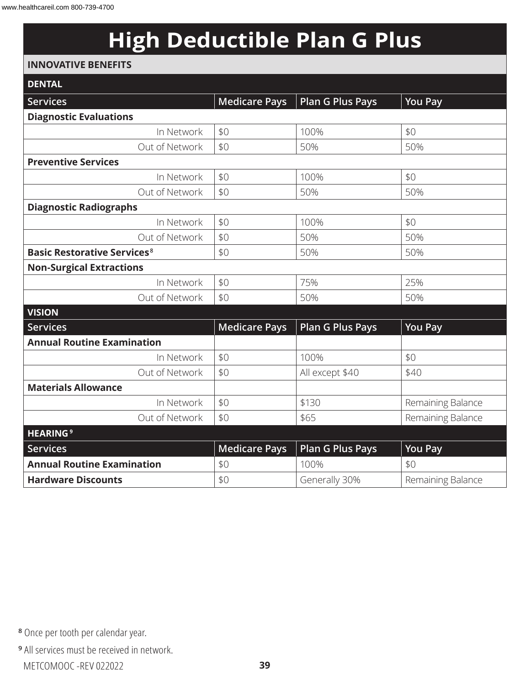## **High Deductible Plan G Plus**

#### **INNOVATIVE BENEFITS**

| <b>DENTAL</b>                                 |                      |                         |                   |
|-----------------------------------------------|----------------------|-------------------------|-------------------|
| <b>Services</b>                               | <b>Medicare Pays</b> | <b>Plan G Plus Pays</b> | <b>You Pay</b>    |
| <b>Diagnostic Evaluations</b>                 |                      |                         |                   |
| In Network                                    | \$0                  | 100%                    | \$0               |
| Out of Network                                | \$0                  | 50%                     | 50%               |
| <b>Preventive Services</b>                    |                      |                         |                   |
| In Network                                    | \$0                  | 100%                    | \$0               |
| Out of Network                                | \$0                  | 50%                     | 50%               |
| <b>Diagnostic Radiographs</b>                 |                      |                         |                   |
| In Network                                    | \$0                  | 100%                    | \$0               |
| Out of Network                                | \$0                  | 50%                     | 50%               |
| <b>Basic Restorative Services<sup>8</sup></b> | \$0                  | 50%                     | 50%               |
| <b>Non-Surgical Extractions</b>               |                      |                         |                   |
| In Network                                    | \$0                  | 75%                     | 25%               |
| Out of Network                                | \$0                  | 50%                     | 50%               |
| <b>VISION</b>                                 |                      |                         |                   |
| <b>Services</b>                               | <b>Medicare Pays</b> | <b>Plan G Plus Pays</b> | <b>You Pay</b>    |
| <b>Annual Routine Examination</b>             |                      |                         |                   |
| In Network                                    | \$0                  | 100%                    | \$0               |
| Out of Network                                | \$0                  | All except \$40         | \$40              |
| <b>Materials Allowance</b>                    |                      |                         |                   |
| In Network                                    | \$0                  | \$130                   | Remaining Balance |
| Out of Network                                | \$0                  | \$65                    | Remaining Balance |
| <b>HEARING<sup>9</sup></b>                    |                      |                         |                   |
| Services                                      | <b>Medicare Pays</b> | <b>Plan G Plus Pays</b> | <b>You Pay</b>    |
| <b>Annual Routine Examination</b>             | \$0                  | 100%                    | \$0               |
| <b>Hardware Discounts</b>                     | \$0                  | Generally 30%           | Remaining Balance |

**<sup>8</sup>** Once per tooth per calendar year.

METCOMOOC -REV 022022 **39 <sup>9</sup>** All services must be received in network.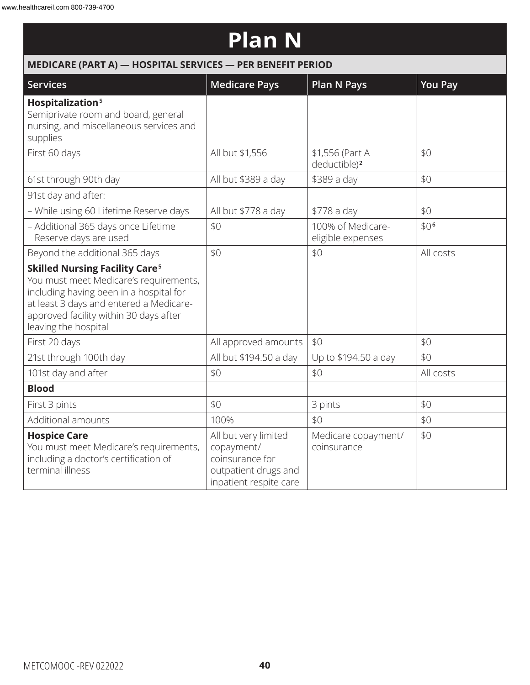## **Plan N**

|                                                                                                                                                                                                                                                    | MEDICARE (PART A) - HOSPITAL SERVICES - PER BENEFIT PERIOD                                              |                                             |                  |  |  |
|----------------------------------------------------------------------------------------------------------------------------------------------------------------------------------------------------------------------------------------------------|---------------------------------------------------------------------------------------------------------|---------------------------------------------|------------------|--|--|
| Services                                                                                                                                                                                                                                           | <b>Medicare Pays</b>                                                                                    | <b>Plan N Pays</b>                          | <b>You Pay</b>   |  |  |
| Hospitalization <sup>5</sup><br>Semiprivate room and board, general<br>nursing, and miscellaneous services and<br>supplies                                                                                                                         |                                                                                                         |                                             |                  |  |  |
| First 60 days                                                                                                                                                                                                                                      | All but \$1,556                                                                                         | \$1,556 (Part A<br>deductible) <sup>2</sup> | \$0              |  |  |
| 61st through 90th day                                                                                                                                                                                                                              | All but \$389 a day                                                                                     | \$389 a day                                 | \$0              |  |  |
| 91st day and after:                                                                                                                                                                                                                                |                                                                                                         |                                             |                  |  |  |
| - While using 60 Lifetime Reserve days                                                                                                                                                                                                             | All but \$778 a day                                                                                     | \$778 a day                                 | \$0              |  |  |
| - Additional 365 days once Lifetime<br>Reserve days are used                                                                                                                                                                                       | \$0                                                                                                     | 100% of Medicare-<br>eligible expenses      | \$0 <sup>6</sup> |  |  |
| Beyond the additional 365 days                                                                                                                                                                                                                     | \$0                                                                                                     | \$0                                         | All costs        |  |  |
| <b>Skilled Nursing Facility Care<sup>5</sup></b><br>You must meet Medicare's requirements,<br>including having been in a hospital for<br>at least 3 days and entered a Medicare-<br>approved facility within 30 days after<br>leaving the hospital |                                                                                                         |                                             |                  |  |  |
| First 20 days                                                                                                                                                                                                                                      | All approved amounts                                                                                    | \$0                                         | \$0              |  |  |
| 21st through 100th day                                                                                                                                                                                                                             | All but \$194.50 a day                                                                                  | Up to \$194.50 a day                        | \$0              |  |  |
| 101st day and after                                                                                                                                                                                                                                | \$0                                                                                                     | \$0                                         | All costs        |  |  |
| <b>Blood</b>                                                                                                                                                                                                                                       |                                                                                                         |                                             |                  |  |  |
| First 3 pints                                                                                                                                                                                                                                      | \$0                                                                                                     | 3 pints                                     | \$0              |  |  |
| Additional amounts                                                                                                                                                                                                                                 | 100%                                                                                                    | \$0                                         | \$0              |  |  |
| <b>Hospice Care</b><br>You must meet Medicare's requirements,<br>including a doctor's certification of<br>terminal illness                                                                                                                         | All but very limited<br>copayment/<br>coinsurance for<br>outpatient drugs and<br>inpatient respite care | Medicare copayment/<br>coinsurance          | \$0              |  |  |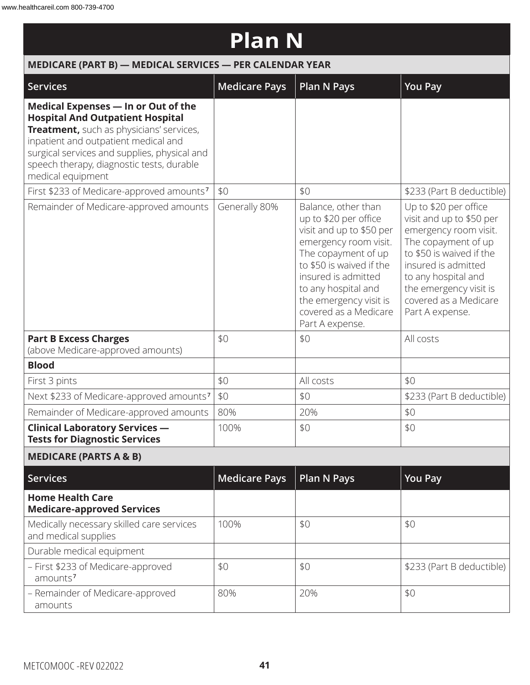## **Plan N**

| MEDICARE (PART B) - MEDICAL SERVICES - PER CALENDAR YEAR                                                                                                                                                                                                                             |                      |                                                                                                                                                                                                                                                                          |                                                                                                                                                                                                                                                   |
|--------------------------------------------------------------------------------------------------------------------------------------------------------------------------------------------------------------------------------------------------------------------------------------|----------------------|--------------------------------------------------------------------------------------------------------------------------------------------------------------------------------------------------------------------------------------------------------------------------|---------------------------------------------------------------------------------------------------------------------------------------------------------------------------------------------------------------------------------------------------|
| <b>Services</b>                                                                                                                                                                                                                                                                      | <b>Medicare Pays</b> | <b>Plan N Pays</b>                                                                                                                                                                                                                                                       | <b>You Pay</b>                                                                                                                                                                                                                                    |
| Medical Expenses - In or Out of the<br><b>Hospital And Outpatient Hospital</b><br>Treatment, such as physicians' services,<br>inpatient and outpatient medical and<br>surgical services and supplies, physical and<br>speech therapy, diagnostic tests, durable<br>medical equipment |                      |                                                                                                                                                                                                                                                                          |                                                                                                                                                                                                                                                   |
| First \$233 of Medicare-approved amounts <sup>7</sup>                                                                                                                                                                                                                                | \$0                  | \$0                                                                                                                                                                                                                                                                      | \$233 (Part B deductible)                                                                                                                                                                                                                         |
| Remainder of Medicare-approved amounts                                                                                                                                                                                                                                               | Generally 80%        | Balance, other than<br>up to \$20 per office<br>visit and up to \$50 per<br>emergency room visit.<br>The copayment of up<br>to \$50 is waived if the<br>insured is admitted<br>to any hospital and<br>the emergency visit is<br>covered as a Medicare<br>Part A expense. | Up to \$20 per office<br>visit and up to \$50 per<br>emergency room visit.<br>The copayment of up<br>to \$50 is waived if the<br>insured is admitted<br>to any hospital and<br>the emergency visit is<br>covered as a Medicare<br>Part A expense. |
| <b>Part B Excess Charges</b><br>(above Medicare-approved amounts)                                                                                                                                                                                                                    | \$0                  | \$0                                                                                                                                                                                                                                                                      | All costs                                                                                                                                                                                                                                         |
| <b>Blood</b>                                                                                                                                                                                                                                                                         |                      |                                                                                                                                                                                                                                                                          |                                                                                                                                                                                                                                                   |
| First 3 pints                                                                                                                                                                                                                                                                        | \$0                  | All costs                                                                                                                                                                                                                                                                | \$0                                                                                                                                                                                                                                               |
| Next \$233 of Medicare-approved amounts <sup>7</sup>                                                                                                                                                                                                                                 | \$0                  | \$0                                                                                                                                                                                                                                                                      | \$233 (Part B deductible)                                                                                                                                                                                                                         |
| Remainder of Medicare-approved amounts                                                                                                                                                                                                                                               | 80%                  | 20%                                                                                                                                                                                                                                                                      | \$0                                                                                                                                                                                                                                               |
| <b>Clinical Laboratory Services -</b><br><b>Tests for Diagnostic Services</b>                                                                                                                                                                                                        | 100%                 | \$0                                                                                                                                                                                                                                                                      | \$0                                                                                                                                                                                                                                               |
| <b>MEDICARE (PARTS A &amp; B)</b>                                                                                                                                                                                                                                                    |                      |                                                                                                                                                                                                                                                                          |                                                                                                                                                                                                                                                   |
| <b>Services</b>                                                                                                                                                                                                                                                                      | <b>Medicare Pays</b> | <b>Plan N Pays</b>                                                                                                                                                                                                                                                       | <b>You Pay</b>                                                                                                                                                                                                                                    |
| <b>Home Health Care</b><br><b>Medicare-approved Services</b>                                                                                                                                                                                                                         |                      |                                                                                                                                                                                                                                                                          |                                                                                                                                                                                                                                                   |
| Medically necessary skilled care services<br>and medical supplies                                                                                                                                                                                                                    | 100%                 | \$0                                                                                                                                                                                                                                                                      | \$0                                                                                                                                                                                                                                               |
| Durable medical equipment                                                                                                                                                                                                                                                            |                      |                                                                                                                                                                                                                                                                          |                                                                                                                                                                                                                                                   |
| - First \$233 of Medicare-approved<br>amounts <sup>7</sup>                                                                                                                                                                                                                           | \$0                  | \$0                                                                                                                                                                                                                                                                      | \$233 (Part B deductible)                                                                                                                                                                                                                         |
| - Remainder of Medicare-approved<br>amounts                                                                                                                                                                                                                                          | 80%                  | 20%                                                                                                                                                                                                                                                                      | \$0                                                                                                                                                                                                                                               |